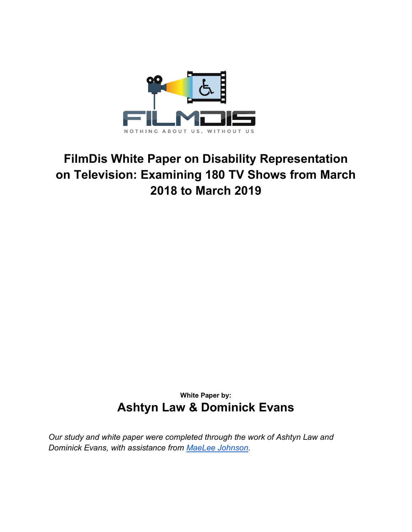

# **FilmDis White Paper on Disability Representation on Television: Examining 180 TV Shows from March 2018 to March 2019**

**White Paper by: Ashtyn Law & Dominick Evans**

*Our study and white paper were completed through the work of Ashtyn Law and Dominick Evans, with assistance from [MaeLee Johnson.](https://twitter.com/Mae_DayJ)*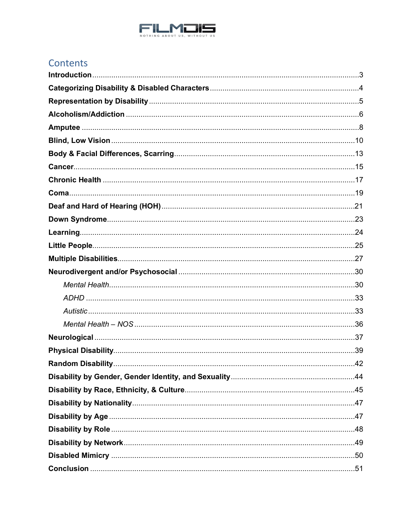

## Contents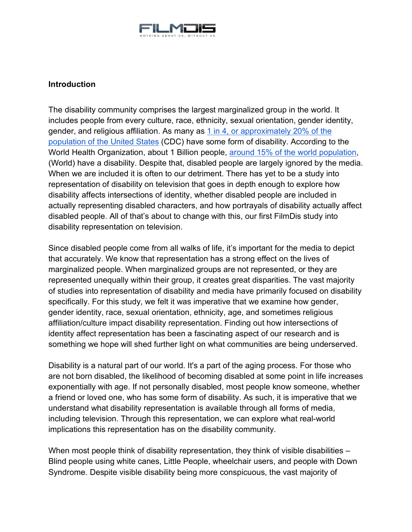

## <span id="page-2-0"></span>**Introduction**

The disability community comprises the largest marginalized group in the world. It includes people from every culture, race, ethnicity, sexual orientation, gender identity, gender, and religious affiliation. As many as [1 in 4, or approximately 20% of the](https://www.cdc.gov/media/releases/2018/p0816-disability.html)  [population of the United States](https://www.cdc.gov/media/releases/2018/p0816-disability.html) (CDC) have some form of disability. According to the World Health Organization, about 1 Billion people, [around 15% of the world population,](https://www.who.int/disabilities/world_report/2011/report/en/) (World) have a disability. Despite that, disabled people are largely ignored by the media. When we are included it is often to our detriment. There has yet to be a study into representation of disability on television that goes in depth enough to explore how disability affects intersections of identity, whether disabled people are included in actually representing disabled characters, and how portrayals of disability actually affect disabled people. All of that's about to change with this, our first FilmDis study into disability representation on television.

Since disabled people come from all walks of life, it's important for the media to depict that accurately. We know that representation has a strong effect on the lives of marginalized people. When marginalized groups are not represented, or they are represented unequally within their group, it creates great disparities. The vast majority of studies into representation of disability and media have primarily focused on disability specifically. For this study, we felt it was imperative that we examine how gender, gender identity, race, sexual orientation, ethnicity, age, and sometimes religious affiliation/culture impact disability representation. Finding out how intersections of identity affect representation has been a fascinating aspect of our research and is something we hope will shed further light on what communities are being underserved.

Disability is a natural part of our world. It's a part of the aging process. For those who are not born disabled, the likelihood of becoming disabled at some point in life increases exponentially with age. If not personally disabled, most people know someone, whether a friend or loved one, who has some form of disability. As such, it is imperative that we understand what disability representation is available through all forms of media, including television. Through this representation, we can explore what real-world implications this representation has on the disability community.

When most people think of disability representation, they think of visible disabilities – Blind people using white canes, Little People, wheelchair users, and people with Down Syndrome. Despite visible disability being more conspicuous, the vast majority of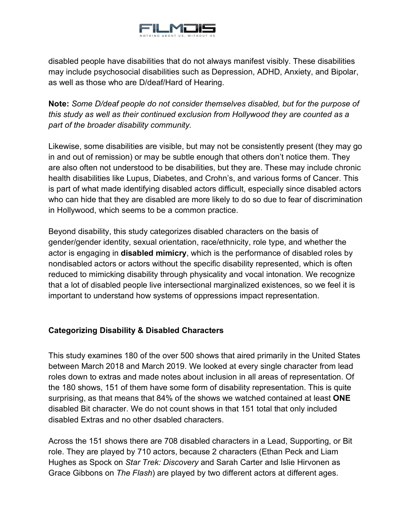

disabled people have disabilities that do not always manifest visibly. These disabilities may include psychosocial disabilities such as Depression, ADHD, Anxiety, and Bipolar, as well as those who are D/deaf/Hard of Hearing.

**Note:** *Some D/deaf people do not consider themselves disabled, but for the purpose of this study as well as their continued exclusion from Hollywood they are counted as a part of the broader disability community.*

Likewise, some disabilities are visible, but may not be consistently present (they may go in and out of remission) or may be subtle enough that others don't notice them. They are also often not understood to be disabilities, but they are. These may include chronic health disabilities like Lupus, Diabetes, and Crohn's, and various forms of Cancer. This is part of what made identifying disabled actors difficult, especially since disabled actors who can hide that they are disabled are more likely to do so due to fear of discrimination in Hollywood, which seems to be a common practice.

Beyond disability, this study categorizes disabled characters on the basis of gender/gender identity, sexual orientation, race/ethnicity, role type, and whether the actor is engaging in **disabled mimicry**, which is the performance of disabled roles by nondisabled actors or actors without the specific disability represented, which is often reduced to mimicking disability through physicality and vocal intonation. We recognize that a lot of disabled people live intersectional marginalized existences, so we feel it is important to understand how systems of oppressions impact representation.

## <span id="page-3-0"></span>**Categorizing Disability & Disabled Characters**

This study examines 180 of the over 500 shows that aired primarily in the United States between March 2018 and March 2019. We looked at every single character from lead roles down to extras and made notes about inclusion in all areas of representation. Of the 180 shows, 151 of them have some form of disability representation. This is quite surprising, as that means that 84% of the shows we watched contained at least **ONE** disabled Bit character. We do not count shows in that 151 total that only included disabled Extras and no other dsabled characters.

Across the 151 shows there are 708 disabled characters in a Lead, Supporting, or Bit role. They are played by 710 actors, because 2 characters (Ethan Peck and Liam Hughes as Spock on *Star Trek: Discovery* and Sarah Carter and Islie Hirvonen as Grace Gibbons on *The Flash*) are played by two different actors at different ages.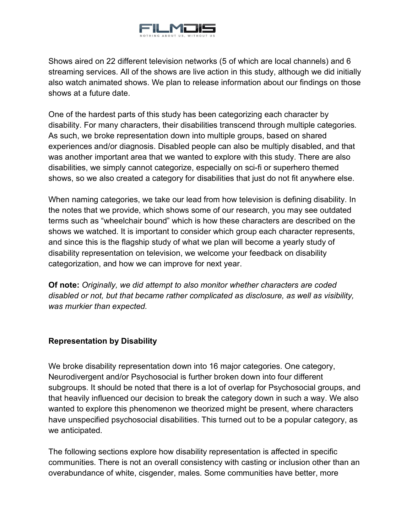

Shows aired on 22 different television networks (5 of which are local channels) and 6 streaming services. All of the shows are live action in this study, although we did initially also watch animated shows. We plan to release information about our findings on those shows at a future date.

One of the hardest parts of this study has been categorizing each character by disability. For many characters, their disabilities transcend through multiple categories. As such, we broke representation down into multiple groups, based on shared experiences and/or diagnosis. Disabled people can also be multiply disabled, and that was another important area that we wanted to explore with this study. There are also disabilities, we simply cannot categorize, especially on sci-fi or superhero themed shows, so we also created a category for disabilities that just do not fit anywhere else.

When naming categories, we take our lead from how television is defining disability. In the notes that we provide, which shows some of our research, you may see outdated terms such as "wheelchair bound" which is how these characters are described on the shows we watched. It is important to consider which group each character represents, and since this is the flagship study of what we plan will become a yearly study of disability representation on television, we welcome your feedback on disability categorization, and how we can improve for next year.

**Of note:** *Originally, we did attempt to also monitor whether characters are coded disabled or not, but that became rather complicated as disclosure, as well as visibility, was murkier than expected.*

## <span id="page-4-0"></span>**Representation by Disability**

We broke disability representation down into 16 major categories. One category, Neurodivergent and/or Psychosocial is further broken down into four different subgroups. It should be noted that there is a lot of overlap for Psychosocial groups, and that heavily influenced our decision to break the category down in such a way. We also wanted to explore this phenomenon we theorized might be present, where characters have unspecified psychosocial disabilities. This turned out to be a popular category, as we anticipated.

The following sections explore how disability representation is affected in specific communities. There is not an overall consistency with casting or inclusion other than an overabundance of white, cisgender, males. Some communities have better, more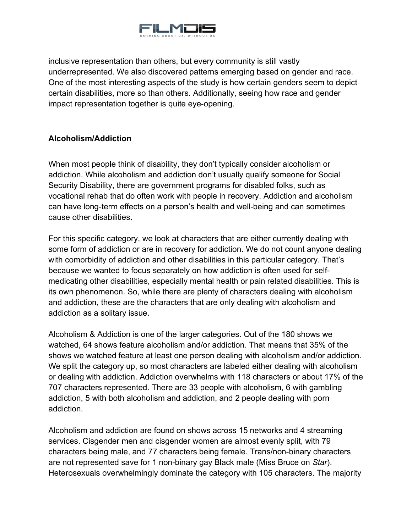

inclusive representation than others, but every community is still vastly underrepresented. We also discovered patterns emerging based on gender and race. One of the most interesting aspects of the study is how certain genders seem to depict certain disabilities, more so than others. Additionally, seeing how race and gender impact representation together is quite eye-opening.

## <span id="page-5-0"></span>**Alcoholism/Addiction**

When most people think of disability, they don't typically consider alcoholism or addiction. While alcoholism and addiction don't usually qualify someone for Social Security Disability, there are government programs for disabled folks, such as vocational rehab that do often work with people in recovery. Addiction and alcoholism can have long-term effects on a person's health and well-being and can sometimes cause other disabilities.

For this specific category, we look at characters that are either currently dealing with some form of addiction or are in recovery for addiction. We do not count anyone dealing with comorbidity of addiction and other disabilities in this particular category. That's because we wanted to focus separately on how addiction is often used for selfmedicating other disabilities, especially mental health or pain related disabilities. This is its own phenomenon. So, while there are plenty of characters dealing with alcoholism and addiction, these are the characters that are only dealing with alcoholism and addiction as a solitary issue.

Alcoholism & Addiction is one of the larger categories. Out of the 180 shows we watched, 64 shows feature alcoholism and/or addiction. That means that 35% of the shows we watched feature at least one person dealing with alcoholism and/or addiction. We split the category up, so most characters are labeled either dealing with alcoholism or dealing with addiction. Addiction overwhelms with 118 characters or about 17% of the 707 characters represented. There are 33 people with alcoholism, 6 with gambling addiction, 5 with both alcoholism and addiction, and 2 people dealing with porn addiction.

Alcoholism and addiction are found on shows across 15 networks and 4 streaming services. Cisgender men and cisgender women are almost evenly split, with 79 characters being male, and 77 characters being female. Trans/non-binary characters are not represented save for 1 non-binary gay Black male (Miss Bruce on *Star*). Heterosexuals overwhelmingly dominate the category with 105 characters. The majority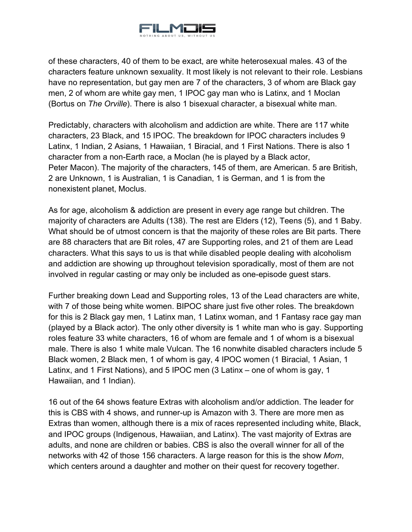

of these characters, 40 of them to be exact, are white heterosexual males. 43 of the characters feature unknown sexuality. It most likely is not relevant to their role. Lesbians have no representation, but gay men are 7 of the characters, 3 of whom are Black gay men, 2 of whom are white gay men, 1 IPOC gay man who is Latinx, and 1 Moclan (Bortus on *The Orville*). There is also 1 bisexual character, a bisexual white man.

Predictably, characters with alcoholism and addiction are white. There are 117 white characters, 23 Black, and 15 IPOC. The breakdown for IPOC characters includes 9 Latinx, 1 Indian, 2 Asians, 1 Hawaiian, 1 Biracial, and 1 First Nations. There is also 1 character from a non-Earth race, a Moclan (he is played by a Black actor, Peter Macon). The majority of the characters, 145 of them, are American. 5 are British, 2 are Unknown, 1 is Australian, 1 is Canadian, 1 is German, and 1 is from the nonexistent planet, Moclus.

As for age, alcoholism & addiction are present in every age range but children. The majority of characters are Adults (138). The rest are Elders (12), Teens (5), and 1 Baby. What should be of utmost concern is that the majority of these roles are Bit parts. There are 88 characters that are Bit roles, 47 are Supporting roles, and 21 of them are Lead characters. What this says to us is that while disabled people dealing with alcoholism and addiction are showing up throughout television sporadically, most of them are not involved in regular casting or may only be included as one-episode guest stars.

Further breaking down Lead and Supporting roles, 13 of the Lead characters are white, with 7 of those being white women. BIPOC share just five other roles. The breakdown for this is 2 Black gay men, 1 Latinx man, 1 Latinx woman, and 1 Fantasy race gay man (played by a Black actor). The only other diversity is 1 white man who is gay. Supporting roles feature 33 white characters, 16 of whom are female and 1 of whom is a bisexual male. There is also 1 white male Vulcan. The 16 nonwhite disabled characters include 5 Black women, 2 Black men, 1 of whom is gay, 4 IPOC women (1 Biracial, 1 Asian, 1 Latinx, and 1 First Nations), and 5 IPOC men (3 Latinx – one of whom is gay, 1 Hawaiian, and 1 Indian).

16 out of the 64 shows feature Extras with alcoholism and/or addiction. The leader for this is CBS with 4 shows, and runner-up is Amazon with 3. There are more men as Extras than women, although there is a mix of races represented including white, Black, and IPOC groups (Indigenous, Hawaiian, and Latinx). The vast majority of Extras are adults, and none are children or babies. CBS is also the overall winner for all of the networks with 42 of those 156 characters. A large reason for this is the show *Mom*, which centers around a daughter and mother on their quest for recovery together.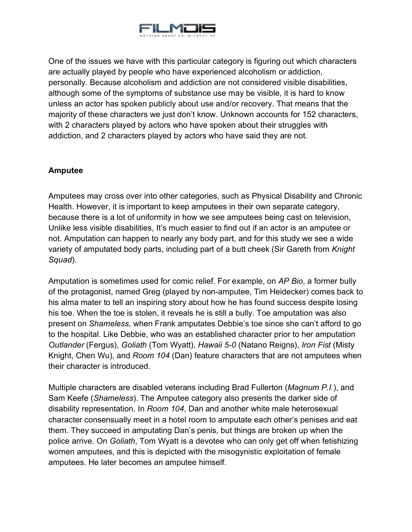

One of the issues we have with this particular category is figuring out which characters are actually played by people who have experienced alcoholism or addiction, personally. Because alcoholism and addiction are not considered visible disabilities, although some of the symptoms of substance use may be visible, it is hard to know unless an actor has spoken publicly about use and/or recovery. That means that the majority of these characters we just don't know. Unknown accounts for 152 characters, with 2 characters played by actors who have spoken about their struggles with addiction, and 2 characters played by actors who have said they are not.

## <span id="page-7-0"></span>**Amputee**

Amputees may cross over into other categories, such as Physical Disability and Chronic Health. However, it is important to keep amputees in their own separate category, because there is a lot of uniformity in how we see amputees being cast on television, Unlike less visible disabilities, It's much easier to find out if an actor is an amputee or not. Amputation can happen to nearly any body part, and for this study we see a wide variety of amputated body parts, including part of a butt cheek (Sir Gareth from *Knight Squad*).

Amputation is sometimes used for comic relief. For example, on *AP Bio*, a former bully of the protagonist, named Greg (played by non-amputee, Tim Heidecker) comes back to his alma mater to tell an inspiring story about how he has found success despite losing his toe. When the toe is stolen, it reveals he is still a bully. Toe amputation was also present on *Shameless*, when Frank amputates Debbie's toe since she can't afford to go to the hospital. Like Debbie, who was an established character prior to her amputation *Outlander* (Fergus), *Goliath* (Tom Wyatt), *Hawaii 5-0* (Natano Reigns), *Iron Fist* (Misty Knight, Chen Wu), and *Room 104* (Dan) feature characters that are not amputees when their character is introduced.

Multiple characters are disabled veterans including Brad Fullerton (*Magnum P.I.*), and Sam Keefe (*Shameless*). The Amputee category also presents the darker side of disability representation. In *Room 104*, Dan and another white male heterosexual character consensually meet in a hotel room to amputate each other's penises and eat them. They succeed in amputating Dan's penis, but things are broken up when the police arrive. On *Goliath*, Tom Wyatt is a devotee who can only get off when fetishizing women amputees, and this is depicted with the misogynistic exploitation of female amputees. He later becomes an amputee himself.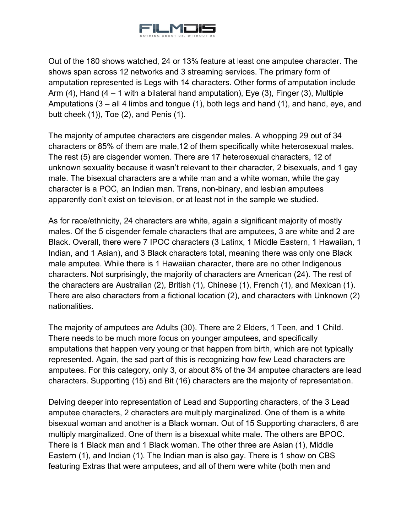

Out of the 180 shows watched, 24 or 13% feature at least one amputee character. The shows span across 12 networks and 3 streaming services. The primary form of amputation represented is Legs with 14 characters. Other forms of amputation include Arm  $(4)$ , Hand  $(4 - 1)$  with a bilateral hand amputation), Eye  $(3)$ , Finger  $(3)$ , Multiple Amputations (3 – all 4 limbs and tongue (1), both legs and hand (1), and hand, eye, and butt cheek (1)), Toe (2), and Penis (1).

The majority of amputee characters are cisgender males. A whopping 29 out of 34 characters or 85% of them are male,12 of them specifically white heterosexual males. The rest (5) are cisgender women. There are 17 heterosexual characters, 12 of unknown sexuality because it wasn't relevant to their character, 2 bisexuals, and 1 gay male. The bisexual characters are a white man and a white woman, while the gay character is a POC, an Indian man. Trans, non-binary, and lesbian amputees apparently don't exist on television, or at least not in the sample we studied.

As for race/ethnicity, 24 characters are white, again a significant majority of mostly males. Of the 5 cisgender female characters that are amputees, 3 are white and 2 are Black. Overall, there were 7 IPOC characters (3 Latinx, 1 Middle Eastern, 1 Hawaiian, 1 Indian, and 1 Asian), and 3 Black characters total, meaning there was only one Black male amputee. While there is 1 Hawaiian character, there are no other Indigenous characters. Not surprisingly, the majority of characters are American (24). The rest of the characters are Australian (2), British (1), Chinese (1), French (1), and Mexican (1). There are also characters from a fictional location (2), and characters with Unknown (2) nationalities.

The majority of amputees are Adults (30). There are 2 Elders, 1 Teen, and 1 Child. There needs to be much more focus on younger amputees, and specifically amputations that happen very young or that happen from birth, which are not typically represented. Again, the sad part of this is recognizing how few Lead characters are amputees. For this category, only 3, or about 8% of the 34 amputee characters are lead characters. Supporting (15) and Bit (16) characters are the majority of representation.

Delving deeper into representation of Lead and Supporting characters, of the 3 Lead amputee characters, 2 characters are multiply marginalized. One of them is a white bisexual woman and another is a Black woman. Out of 15 Supporting characters, 6 are multiply marginalized. One of them is a bisexual white male. The others are BPOC. There is 1 Black man and 1 Black woman. The other three are Asian (1), Middle Eastern (1), and Indian (1). The Indian man is also gay. There is 1 show on CBS featuring Extras that were amputees, and all of them were white (both men and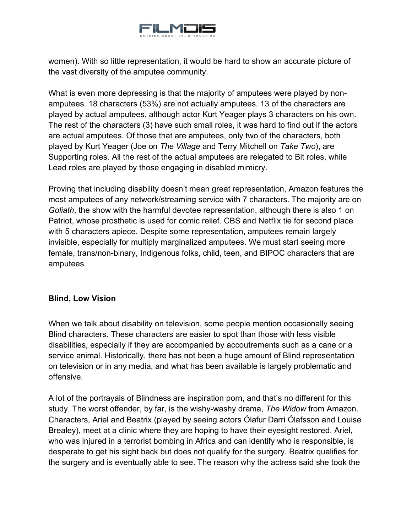

women). With so little representation, it would be hard to show an accurate picture of the vast diversity of the amputee community.

What is even more depressing is that the majority of amputees were played by nonamputees. 18 characters (53%) are not actually amputees. 13 of the characters are played by actual amputees, although actor Kurt Yeager plays 3 characters on his own. The rest of the characters (3) have such small roles, it was hard to find out if the actors are actual amputees. Of those that are amputees, only two of the characters, both played by Kurt Yeager (Joe on *The Village* and Terry Mitchell on *Take Two*), are Supporting roles. All the rest of the actual amputees are relegated to Bit roles, while Lead roles are played by those engaging in disabled mimicry.

Proving that including disability doesn't mean great representation, Amazon features the most amputees of any network/streaming service with 7 characters. The majority are on *Goliath*, the show with the harmful devotee representation, although there is also 1 on Patriot, whose prosthetic is used for comic relief. CBS and Netflix tie for second place with 5 characters apiece. Despite some representation, amputees remain largely invisible, especially for multiply marginalized amputees. We must start seeing more female, trans/non-binary, Indigenous folks, child, teen, and BIPOC characters that are amputees.

## <span id="page-9-0"></span>**Blind, Low Vision**

When we talk about disability on television, some people mention occasionally seeing Blind characters. These characters are easier to spot than those with less visible disabilities, especially if they are accompanied by accoutrements such as a cane or a service animal. Historically, there has not been a huge amount of Blind representation on television or in any media, and what has been available is largely problematic and offensive.

A lot of the portrayals of Blindness are inspiration porn, and that's no different for this study. The worst offender, by far, is the wishy-washy drama, *The Widow* from Amazon. Characters, Ariel and Beatrix (played by seeing actors Ólafur Darri Ólafsson and Louise Brealey), meet at a clinic where they are hoping to have their eyesight restored. Ariel, who was injured in a terrorist bombing in Africa and can identify who is responsible, is desperate to get his sight back but does not qualify for the surgery. Beatrix qualifies for the surgery and is eventually able to see. The reason why the actress said she took the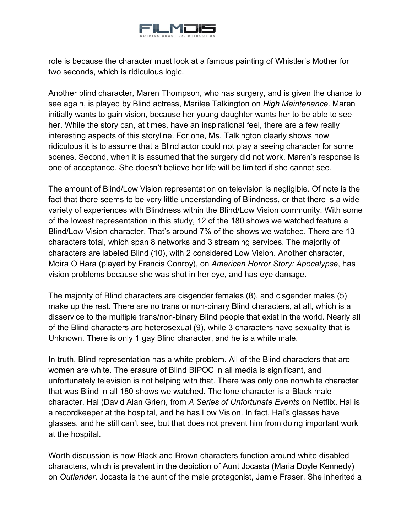

role is because the character must look at a famous painting of Whistler's Mother for two seconds, which is ridiculous logic.

Another blind character, Maren Thompson, who has surgery, and is given the chance to see again, is played by Blind actress, Marilee Talkington on *High Maintenance*. Maren initially wants to gain vision, because her young daughter wants her to be able to see her. While the story can, at times, have an inspirational feel, there are a few really interesting aspects of this storyline. For one, Ms. Talkington clearly shows how ridiculous it is to assume that a Blind actor could not play a seeing character for some scenes. Second, when it is assumed that the surgery did not work, Maren's response is one of acceptance. She doesn't believe her life will be limited if she cannot see.

The amount of Blind/Low Vision representation on television is negligible. Of note is the fact that there seems to be very little understanding of Blindness, or that there is a wide variety of experiences with Blindness within the Blind/Low Vision community. With some of the lowest representation in this study, 12 of the 180 shows we watched feature a Blind/Low Vision character. That's around 7% of the shows we watched. There are 13 characters total, which span 8 networks and 3 streaming services. The majority of characters are labeled Blind (10), with 2 considered Low Vision. Another character, Moira O'Hara (played by Francis Conroy), on *American Horror Story: Apocalypse*, has vision problems because she was shot in her eye, and has eye damage.

The majority of Blind characters are cisgender females (8), and cisgender males (5) make up the rest. There are no trans or non-binary Blind characters, at all, which is a disservice to the multiple trans/non-binary Blind people that exist in the world. Nearly all of the Blind characters are heterosexual (9), while 3 characters have sexuality that is Unknown. There is only 1 gay Blind character, and he is a white male.

In truth, Blind representation has a white problem. All of the Blind characters that are women are white. The erasure of Blind BIPOC in all media is significant, and unfortunately television is not helping with that. There was only one nonwhite character that was Blind in all 180 shows we watched. The lone character is a Black male character, Hal (David Alan Grier), from *A Series of Unfortunate Events* on Netflix. Hal is a recordkeeper at the hospital, and he has Low Vision. In fact, Hal's glasses have glasses, and he still can't see, but that does not prevent him from doing important work at the hospital.

Worth discussion is how Black and Brown characters function around white disabled characters, which is prevalent in the depiction of Aunt Jocasta (Maria Doyle Kennedy) on *Outlander*. Jocasta is the aunt of the male protagonist, Jamie Fraser. She inherited a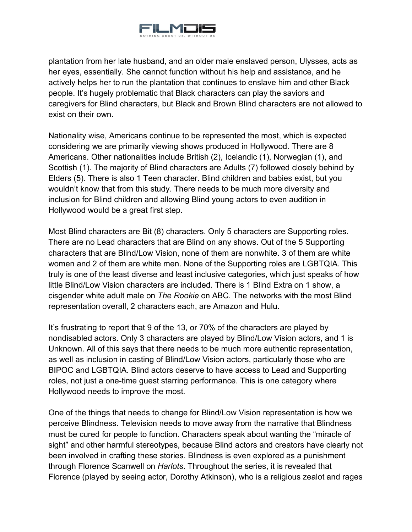

plantation from her late husband, and an older male enslaved person, Ulysses, acts as her eyes, essentially. She cannot function without his help and assistance, and he actively helps her to run the plantation that continues to enslave him and other Black people. It's hugely problematic that Black characters can play the saviors and caregivers for Blind characters, but Black and Brown Blind characters are not allowed to exist on their own.

Nationality wise, Americans continue to be represented the most, which is expected considering we are primarily viewing shows produced in Hollywood. There are 8 Americans. Other nationalities include British (2), Icelandic (1), Norwegian (1), and Scottish (1). The majority of Blind characters are Adults (7) followed closely behind by Elders (5). There is also 1 Teen character. Blind children and babies exist, but you wouldn't know that from this study. There needs to be much more diversity and inclusion for Blind children and allowing Blind young actors to even audition in Hollywood would be a great first step.

Most Blind characters are Bit (8) characters. Only 5 characters are Supporting roles. There are no Lead characters that are Blind on any shows. Out of the 5 Supporting characters that are Blind/Low Vision, none of them are nonwhite. 3 of them are white women and 2 of them are white men. None of the Supporting roles are LGBTQIA. This truly is one of the least diverse and least inclusive categories, which just speaks of how little Blind/Low Vision characters are included. There is 1 Blind Extra on 1 show, a cisgender white adult male on *The Rookie* on ABC. The networks with the most Blind representation overall, 2 characters each, are Amazon and Hulu.

It's frustrating to report that 9 of the 13, or 70% of the characters are played by nondisabled actors. Only 3 characters are played by Blind/Low Vision actors, and 1 is Unknown. All of this says that there needs to be much more authentic representation, as well as inclusion in casting of Blind/Low Vision actors, particularly those who are BIPOC and LGBTQIA. Blind actors deserve to have access to Lead and Supporting roles, not just a one-time guest starring performance. This is one category where Hollywood needs to improve the most.

One of the things that needs to change for Blind/Low Vision representation is how we perceive Blindness. Television needs to move away from the narrative that Blindness must be cured for people to function. Characters speak about wanting the "miracle of sight" and other harmful stereotypes, because Blind actors and creators have clearly not been involved in crafting these stories. Blindness is even explored as a punishment through Florence Scanwell on *Harlots*. Throughout the series, it is revealed that Florence (played by seeing actor, Dorothy Atkinson), who is a religious zealot and rages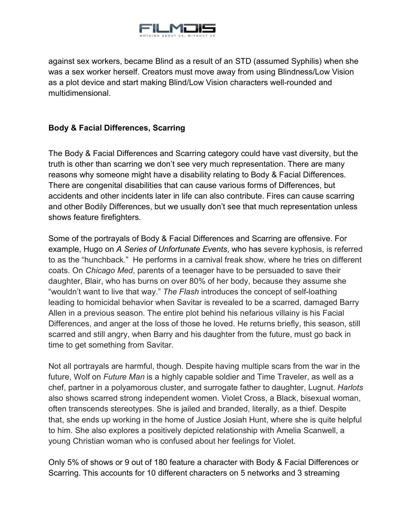

against sex workers, became Blind as a result of an STD (assumed Syphilis) when she was a sex worker herself. Creators must move away from using Blindness/Low Vision as a plot device and start making Blind/Low Vision characters well-rounded and multidimensional.

## <span id="page-12-0"></span>**Body & Facial Differences, Scarring**

The Body & Facial Differences and Scarring category could have vast diversity, but the truth is other than scarring we don't see very much representation. There are many reasons why someone might have a disability relating to Body & Facial Differences. There are congenital disabilities that can cause various forms of Differences, but accidents and other incidents later in life can also contribute. Fires can cause scarring and other Bodily Differences, but we usually don't see that much representation unless shows feature firefighters.

Some of the portrayals of Body & Facial Differences and Scarring are offensive. For example, Hugo on *A Series of Unfortunate Events*, who has severe kyphosis, is referred to as the "hunchback." He performs in a carnival freak show, where he tries on different coats. On *Chicago Med*, parents of a teenager have to be persuaded to save their daughter, Blair, who has burns on over 80% of her body, because they assume she "wouldn't want to live that way." *The Flash* introduces the concept of self-loathing leading to homicidal behavior when Savitar is revealed to be a scarred, damaged Barry Allen in a previous season. The entire plot behind his nefarious villainy is his Facial Differences, and anger at the loss of those he loved. He returns briefly, this season, still scarred and still angry, when Barry and his daughter from the future, must go back in time to get something from Savitar.

Not all portrayals are harmful, though. Despite having multiple scars from the war in the future, Wolf on *Future Man* is a highly capable soldier and Time Traveler, as well as a chef, partner in a polyamorous cluster, and surrogate father to daughter, Lugnut. *Harlots* also shows scarred strong independent women. Violet Cross, a Black, bisexual woman, often transcends stereotypes. She is jailed and branded, literally, as a thief. Despite that, she ends up working in the home of Justice Josiah Hunt, where she is quite helpful to him. She also explores a positively depicted relationship with Amelia Scanwell, a young Christian woman who is confused about her feelings for Violet.

Only 5% of shows or 9 out of 180 feature a character with Body & Facial Differences or Scarring. This accounts for 10 different characters on 5 networks and 3 streaming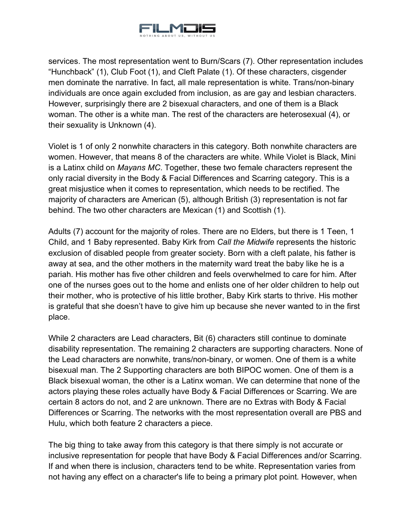

services. The most representation went to Burn/Scars (7). Other representation includes "Hunchback" (1), Club Foot (1), and Cleft Palate (1). Of these characters, cisgender men dominate the narrative. In fact, all male representation is white. Trans/non-binary individuals are once again excluded from inclusion, as are gay and lesbian characters. However, surprisingly there are 2 bisexual characters, and one of them is a Black woman. The other is a white man. The rest of the characters are heterosexual (4), or their sexuality is Unknown (4).

Violet is 1 of only 2 nonwhite characters in this category. Both nonwhite characters are women. However, that means 8 of the characters are white. While Violet is Black, Mini is a Latinx child on *Mayans MC*. Together, these two female characters represent the only racial diversity in the Body & Facial Differences and Scarring category. This is a great misjustice when it comes to representation, which needs to be rectified. The majority of characters are American (5), although British (3) representation is not far behind. The two other characters are Mexican (1) and Scottish (1).

Adults (7) account for the majority of roles. There are no Elders, but there is 1 Teen, 1 Child, and 1 Baby represented. Baby Kirk from *Call the Midwife* represents the historic exclusion of disabled people from greater society. Born with a cleft palate, his father is away at sea, and the other mothers in the maternity ward treat the baby like he is a pariah. His mother has five other children and feels overwhelmed to care for him. After one of the nurses goes out to the home and enlists one of her older children to help out their mother, who is protective of his little brother, Baby Kirk starts to thrive. His mother is grateful that she doesn't have to give him up because she never wanted to in the first place.

While 2 characters are Lead characters, Bit (6) characters still continue to dominate disability representation. The remaining 2 characters are supporting characters. None of the Lead characters are nonwhite, trans/non-binary, or women. One of them is a white bisexual man. The 2 Supporting characters are both BIPOC women. One of them is a Black bisexual woman, the other is a Latinx woman. We can determine that none of the actors playing these roles actually have Body & Facial Differences or Scarring. We are certain 8 actors do not, and 2 are unknown. There are no Extras with Body & Facial Differences or Scarring. The networks with the most representation overall are PBS and Hulu, which both feature 2 characters a piece.

The big thing to take away from this category is that there simply is not accurate or inclusive representation for people that have Body & Facial Differences and/or Scarring. If and when there is inclusion, characters tend to be white. Representation varies from not having any effect on a character's life to being a primary plot point. However, when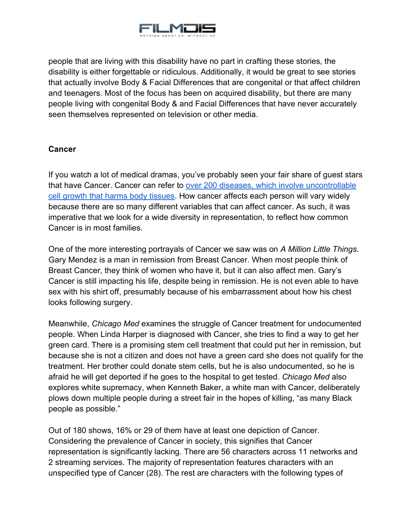

people that are living with this disability have no part in crafting these stories, the disability is either forgettable or ridiculous. Additionally, it would be great to see stories that actually involve Body & Facial Differences that are congenital or that affect children and teenagers. Most of the focus has been on acquired disability, but there are many people living with congenital Body & and Facial Differences that have never accurately seen themselves represented on television or other media.

## <span id="page-14-0"></span>**Cancer**

If you watch a lot of medical dramas, you've probably seen your fair share of guest stars that have Cancer. Cancer can refer to [over 200 diseases, which involve uncontrollable](https://www.cancerresearch.org/faq?gclid=Cj0KCQiA7aPyBRChARIsAJfWCgKEdN9Lr0AvSpcQkV3FlAlt43-uqV39VSJpYmkG3S-qNA36sK4RHMoaAnIAEALw_wcB)  [cell growth that harms body tissues.](https://www.cancerresearch.org/faq?gclid=Cj0KCQiA7aPyBRChARIsAJfWCgKEdN9Lr0AvSpcQkV3FlAlt43-uqV39VSJpYmkG3S-qNA36sK4RHMoaAnIAEALw_wcB) How cancer affects each person will vary widely because there are so many different variables that can affect cancer. As such, it was imperative that we look for a wide diversity in representation, to reflect how common Cancer is in most families.

One of the more interesting portrayals of Cancer we saw was on *A Million Little Things*. Gary Mendez is a man in remission from Breast Cancer. When most people think of Breast Cancer, they think of women who have it, but it can also affect men. Gary's Cancer is still impacting his life, despite being in remission. He is not even able to have sex with his shirt off, presumably because of his embarrassment about how his chest looks following surgery.

Meanwhile, *Chicago Med* examines the struggle of Cancer treatment for undocumented people. When Linda Harper is diagnosed with Cancer, she tries to find a way to get her green card. There is a promising stem cell treatment that could put her in remission, but because she is not a citizen and does not have a green card she does not qualify for the treatment. Her brother could donate stem cells, but he is also undocumented, so he is afraid he will get deported if he goes to the hospital to get tested. *Chicago Med* also explores white supremacy, when Kenneth Baker, a white man with Cancer, deliberately plows down multiple people during a street fair in the hopes of killing, "as many Black people as possible."

Out of 180 shows, 16% or 29 of them have at least one depiction of Cancer. Considering the prevalence of Cancer in society, this signifies that Cancer representation is significantly lacking. There are 56 characters across 11 networks and 2 streaming services. The majority of representation features characters with an unspecified type of Cancer (28). The rest are characters with the following types of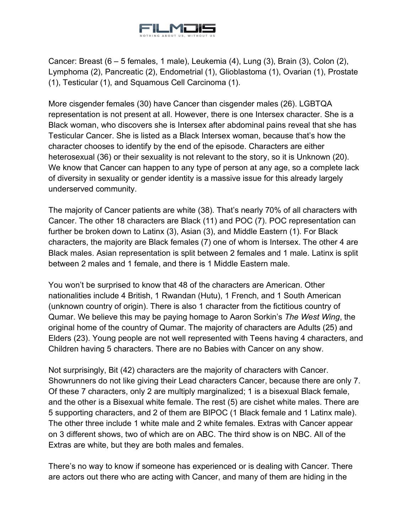

Cancer: Breast (6 – 5 females, 1 male), Leukemia (4), Lung (3), Brain (3), Colon (2), Lymphoma (2), Pancreatic (2), Endometrial (1), Glioblastoma (1), Ovarian (1), Prostate (1), Testicular (1), and Squamous Cell Carcinoma (1).

More cisgender females (30) have Cancer than cisgender males (26). LGBTQA representation is not present at all. However, there is one Intersex character. She is a Black woman, who discovers she is Intersex after abdominal pains reveal that she has Testicular Cancer. She is listed as a Black Intersex woman, because that's how the character chooses to identify by the end of the episode. Characters are either heterosexual (36) or their sexuality is not relevant to the story, so it is Unknown (20). We know that Cancer can happen to any type of person at any age, so a complete lack of diversity in sexuality or gender identity is a massive issue for this already largely underserved community.

The majority of Cancer patients are white (38). That's nearly 70% of all characters with Cancer. The other 18 characters are Black (11) and POC (7). POC representation can further be broken down to Latinx (3), Asian (3), and Middle Eastern (1). For Black characters, the majority are Black females (7) one of whom is Intersex. The other 4 are Black males. Asian representation is split between 2 females and 1 male. Latinx is split between 2 males and 1 female, and there is 1 Middle Eastern male.

You won't be surprised to know that 48 of the characters are American. Other nationalities include 4 British, 1 Rwandan (Hutu), 1 French, and 1 South American (unknown country of origin). There is also 1 character from the fictitious country of Qumar. We believe this may be paying homage to Aaron Sorkin's *The West Wing*, the original home of the country of Qumar. The majority of characters are Adults (25) and Elders (23). Young people are not well represented with Teens having 4 characters, and Children having 5 characters. There are no Babies with Cancer on any show.

Not surprisingly, Bit (42) characters are the majority of characters with Cancer. Showrunners do not like giving their Lead characters Cancer, because there are only 7. Of these 7 characters, only 2 are multiply marginalized; 1 is a bisexual Black female, and the other is a Bisexual white female. The rest (5) are cishet white males. There are 5 supporting characters, and 2 of them are BIPOC (1 Black female and 1 Latinx male). The other three include 1 white male and 2 white females. Extras with Cancer appear on 3 different shows, two of which are on ABC. The third show is on NBC. All of the Extras are white, but they are both males and females.

There's no way to know if someone has experienced or is dealing with Cancer. There are actors out there who are acting with Cancer, and many of them are hiding in the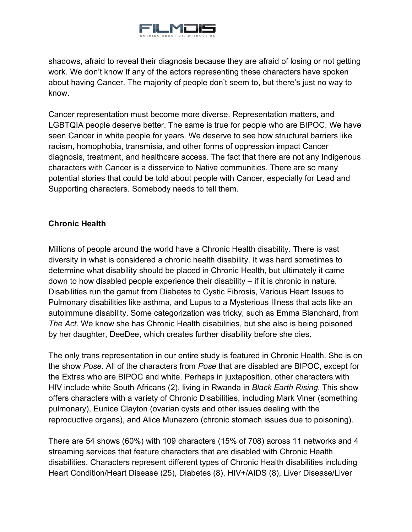

shadows, afraid to reveal their diagnosis because they are afraid of losing or not getting work. We don't know If any of the actors representing these characters have spoken about having Cancer. The majority of people don't seem to, but there's just no way to know.

Cancer representation must become more diverse. Representation matters, and LGBTQIA people deserve better. The same is true for people who are BIPOC. We have seen Cancer in white people for years. We deserve to see how structural barriers like racism, homophobia, transmisia, and other forms of oppression impact Cancer diagnosis, treatment, and healthcare access. The fact that there are not any Indigenous characters with Cancer is a disservice to Native communities. There are so many potential stories that could be told about people with Cancer, especially for Lead and Supporting characters. Somebody needs to tell them.

## <span id="page-16-0"></span>**Chronic Health**

Millions of people around the world have a Chronic Health disability. There is vast diversity in what is considered a chronic health disability. It was hard sometimes to determine what disability should be placed in Chronic Health, but ultimately it came down to how disabled people experience their disability – if it is chronic in nature. Disabilities run the gamut from Diabetes to Cystic Fibrosis, Various Heart Issues to Pulmonary disabilities like asthma, and Lupus to a Mysterious Illness that acts like an autoimmune disability. Some categorization was tricky, such as Emma Blanchard, from *The Act*. We know she has Chronic Health disabilities, but she also is being poisoned by her daughter, DeeDee, which creates further disability before she dies.

The only trans representation in our entire study is featured in Chronic Health. She is on the show *Pose*. All of the characters from *Pose* that are disabled are BIPOC, except for the Extras who are BIPOC and white. Perhaps in juxtaposition, other characters with HIV include white South Africans (2), living in Rwanda in *Black Earth Rising*. This show offers characters with a variety of Chronic Disabilities, including Mark Viner (something pulmonary), Eunice Clayton (ovarian cysts and other issues dealing with the reproductive organs), and Alice Munezero (chronic stomach issues due to poisoning).

There are 54 shows (60%) with 109 characters (15% of 708) across 11 networks and 4 streaming services that feature characters that are disabled with Chronic Health disabilities. Characters represent different types of Chronic Health disabilities including Heart Condition/Heart Disease (25), Diabetes (8), HIV+/AIDS (8), Liver Disease/Liver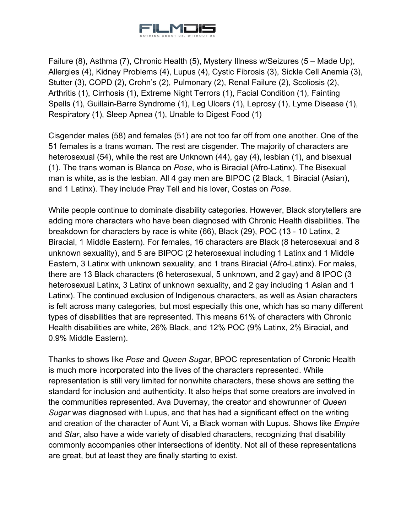

Failure (8), Asthma (7), Chronic Health (5), Mystery Illness w/Seizures (5 – Made Up), Allergies (4), Kidney Problems (4), Lupus (4), Cystic Fibrosis (3), Sickle Cell Anemia (3), Stutter (3), COPD (2), Crohn's (2), Pulmonary (2), Renal Failure (2), Scoliosis (2), Arthritis (1), Cirrhosis (1), Extreme Night Terrors (1), Facial Condition (1), Fainting Spells (1), Guillain-Barre Syndrome (1), Leg Ulcers (1), Leprosy (1), Lyme Disease (1), Respiratory (1), Sleep Apnea (1), Unable to Digest Food (1)

Cisgender males (58) and females (51) are not too far off from one another. One of the 51 females is a trans woman. The rest are cisgender. The majority of characters are heterosexual (54), while the rest are Unknown (44), gay (4), lesbian (1), and bisexual (1). The trans woman is Blanca on *Pose*, who is Biracial (Afro-Latinx). The Bisexual man is white, as is the lesbian. All 4 gay men are BIPOC (2 Black, 1 Biracial (Asian), and 1 Latinx). They include Pray Tell and his lover, Costas on *Pose*.

White people continue to dominate disability categories. However, Black storytellers are adding more characters who have been diagnosed with Chronic Health disabilities. The breakdown for characters by race is white (66), Black (29), POC (13 - 10 Latinx, 2 Biracial, 1 Middle Eastern). For females, 16 characters are Black (8 heterosexual and 8 unknown sexuality), and 5 are BIPOC (2 heterosexual including 1 Latinx and 1 Middle Eastern, 3 Latinx with unknown sexuality, and 1 trans Biracial (Afro-Latinx). For males, there are 13 Black characters (6 heterosexual, 5 unknown, and 2 gay) and 8 IPOC (3 heterosexual Latinx, 3 Latinx of unknown sexuality, and 2 gay including 1 Asian and 1 Latinx). The continued exclusion of Indigenous characters, as well as Asian characters is felt across many categories, but most especially this one, which has so many different types of disabilities that are represented. This means 61% of characters with Chronic Health disabilities are white, 26% Black, and 12% POC (9% Latinx, 2% Biracial, and 0.9% Middle Eastern).

Thanks to shows like *Pose* and *Queen Sugar*, BPOC representation of Chronic Health is much more incorporated into the lives of the characters represented. While representation is still very limited for nonwhite characters, these shows are setting the standard for inclusion and authenticity. It also helps that some creators are involved in the communities represented. Ava Duvernay, the creator and showrunner of *Queen Sugar* was diagnosed with Lupus, and that has had a significant effect on the writing and creation of the character of Aunt Vi, a Black woman with Lupus. Shows like *Empire* and *Star*, also have a wide variety of disabled characters, recognizing that disability commonly accompanies other intersections of identity. Not all of these representations are great, but at least they are finally starting to exist.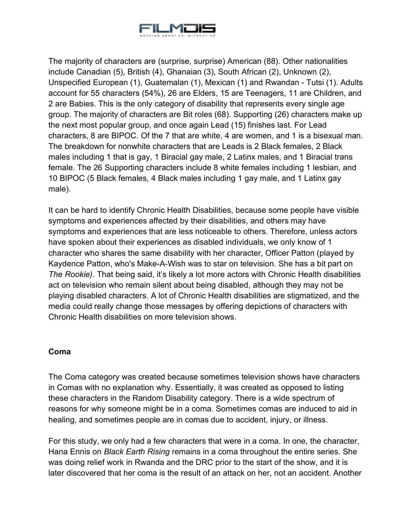

The majority of characters are (surprise, surprise) American (88). Other nationalities include Canadian (5), British (4), Ghanaian (3), South African (2), Unknown (2), Unspecified European (1), Guatemalan (1), Mexican (1) and Rwandan - Tutsi (1). Adults account for 55 characters (54%), 26 are Elders, 15 are Teenagers, 11 are Children, and 2 are Babies. This is the only category of disability that represents every single age group. The majority of characters are Bit roles (68). Supporting (26) characters make up the next most popular group, and once again Lead (15) finishes last. For Lead characters, 8 are BIPOC. Of the 7 that are white, 4 are women, and 1 is a bisexual man. The breakdown for nonwhite characters that are Leads is 2 Black females, 2 Black males including 1 that is gay, 1 Biracial gay male, 2 Latinx males, and 1 Biracial trans female. The 26 Supporting characters include 8 white females including 1 lesbian, and 10 BIPOC (5 Black females, 4 Black males including 1 gay male, and 1 Latinx gay male).

It can be hard to identify Chronic Health Disabilities, because some people have visible symptoms and experiences affected by their disabilities, and others may have symptoms and experiences that are less noticeable to others. Therefore, unless actors have spoken about their experiences as disabled individuals, we only know of 1 character who shares the same disability with her character, Officer Patton (played by Kaydence Patton, who's Make-A-Wish was to star on television. She has a bit part on *The Rookie)*. That being said, it's likely a lot more actors with Chronic Health disabilities act on television who remain silent about being disabled, although they may not be playing disabled characters. A lot of Chronic Health disabilities are stigmatized, and the media could really change those messages by offering depictions of characters with Chronic Health disabilities on more television shows.

## <span id="page-18-0"></span>**Coma**

The Coma category was created because sometimes television shows have characters in Comas with no explanation why. Essentially, it was created as opposed to listing these characters in the Random Disability category. There is a wide spectrum of reasons for why someone might be in a coma. Sometimes comas are induced to aid in healing, and sometimes people are in comas due to accident, injury, or illness.

For this study, we only had a few characters that were in a coma. In one, the character, Hana Ennis on *Black Earth Rising* remains in a coma throughout the entire series. She was doing relief work in Rwanda and the DRC prior to the start of the show, and it is later discovered that her coma is the result of an attack on her, not an accident. Another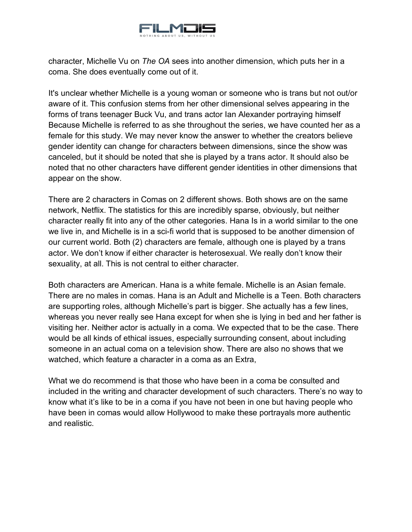

character, Michelle Vu on *The OA* sees into another dimension, which puts her in a coma. She does eventually come out of it.

It's unclear whether Michelle is a young woman or someone who is trans but not out/or aware of it. This confusion stems from her other dimensional selves appearing in the forms of trans teenager Buck Vu, and trans actor Ian Alexander portraying himself Because Michelle is referred to as she throughout the series, we have counted her as a female for this study. We may never know the answer to whether the creators believe gender identity can change for characters between dimensions, since the show was canceled, but it should be noted that she is played by a trans actor. It should also be noted that no other characters have different gender identities in other dimensions that appear on the show.

There are 2 characters in Comas on 2 different shows. Both shows are on the same network, Netflix. The statistics for this are incredibly sparse, obviously, but neither character really fit into any of the other categories. Hana Is in a world similar to the one we live in, and Michelle is in a sci-fi world that is supposed to be another dimension of our current world. Both (2) characters are female, although one is played by a trans actor. We don't know if either character is heterosexual. We really don't know their sexuality, at all. This is not central to either character.

Both characters are American. Hana is a white female. Michelle is an Asian female. There are no males in comas. Hana is an Adult and Michelle is a Teen. Both characters are supporting roles, although Michelle's part is bigger. She actually has a few lines, whereas you never really see Hana except for when she is lying in bed and her father is visiting her. Neither actor is actually in a coma. We expected that to be the case. There would be all kinds of ethical issues, especially surrounding consent, about including someone in an actual coma on a television show. There are also no shows that we watched, which feature a character in a coma as an Extra,

What we do recommend is that those who have been in a coma be consulted and included in the writing and character development of such characters. There's no way to know what it's like to be in a coma if you have not been in one but having people who have been in comas would allow Hollywood to make these portrayals more authentic and realistic.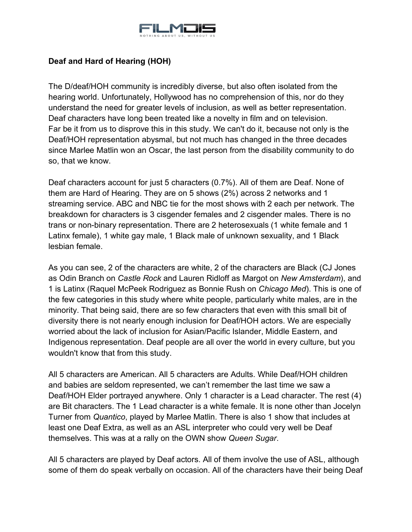

## <span id="page-20-0"></span>**Deaf and Hard of Hearing (HOH)**

The D/deaf/HOH community is incredibly diverse, but also often isolated from the hearing world. Unfortunately, Hollywood has no comprehension of this, nor do they understand the need for greater levels of inclusion, as well as better representation. Deaf characters have long been treated like a novelty in film and on television. Far be it from us to disprove this in this study. We can't do it, because not only is the Deaf/HOH representation abysmal, but not much has changed in the three decades since Marlee Matlin won an Oscar, the last person from the disability community to do so, that we know.

Deaf characters account for just 5 characters (0.7%). All of them are Deaf. None of them are Hard of Hearing. They are on 5 shows (2%) across 2 networks and 1 streaming service. ABC and NBC tie for the most shows with 2 each per network. The breakdown for characters is 3 cisgender females and 2 cisgender males. There is no trans or non-binary representation. There are 2 heterosexuals (1 white female and 1 Latinx female), 1 white gay male, 1 Black male of unknown sexuality, and 1 Black lesbian female.

As you can see, 2 of the characters are white, 2 of the characters are Black (CJ Jones as Odin Branch on *Castle Rock* and Lauren Ridloff as Margot on *New Amsterdam*), and 1 is Latinx (Raquel McPeek Rodriguez as Bonnie Rush on *Chicago Med*). This is one of the few categories in this study where white people, particularly white males, are in the minority. That being said, there are so few characters that even with this small bit of diversity there is not nearly enough inclusion for Deaf/HOH actors. We are especially worried about the lack of inclusion for Asian/Pacific Islander, Middle Eastern, and Indigenous representation. Deaf people are all over the world in every culture, but you wouldn't know that from this study.

All 5 characters are American. All 5 characters are Adults. While Deaf/HOH children and babies are seldom represented, we can't remember the last time we saw a Deaf/HOH Elder portrayed anywhere. Only 1 character is a Lead character. The rest (4) are Bit characters. The 1 Lead character is a white female. It is none other than Jocelyn Turner from *Quantico*, played by Marlee Matlin. There is also 1 show that includes at least one Deaf Extra, as well as an ASL interpreter who could very well be Deaf themselves. This was at a rally on the OWN show *Queen Sugar*.

All 5 characters are played by Deaf actors. All of them involve the use of ASL, although some of them do speak verbally on occasion. All of the characters have their being Deaf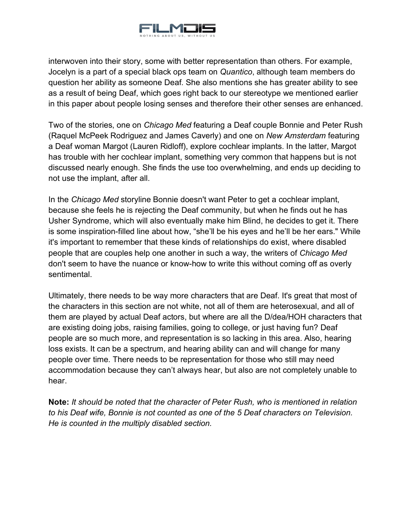

interwoven into their story, some with better representation than others. For example, Jocelyn is a part of a special black ops team on *Quantico*, although team members do question her ability as someone Deaf. She also mentions she has greater ability to see as a result of being Deaf, which goes right back to our stereotype we mentioned earlier in this paper about people losing senses and therefore their other senses are enhanced.

Two of the stories, one on *Chicago Med* featuring a Deaf couple Bonnie and Peter Rush (Raquel McPeek Rodriguez and James Caverly) and one on *New Amsterdam* featuring a Deaf woman Margot (Lauren Ridloff), explore cochlear implants. In the latter, Margot has trouble with her cochlear implant, something very common that happens but is not discussed nearly enough. She finds the use too overwhelming, and ends up deciding to not use the implant, after all.

In the *Chicago Med* storyline Bonnie doesn't want Peter to get a cochlear implant, because she feels he is rejecting the Deaf community, but when he finds out he has Usher Syndrome, which will also eventually make him Blind, he decides to get it. There is some inspiration-filled line about how, "she'll be his eyes and he'll be her ears." While it's important to remember that these kinds of relationships do exist, where disabled people that are couples help one another in such a way, the writers of *Chicago Med* don't seem to have the nuance or know-how to write this without coming off as overly sentimental.

Ultimately, there needs to be way more characters that are Deaf. It's great that most of the characters in this section are not white, not all of them are heterosexual, and all of them are played by actual Deaf actors, but where are all the D/dea/HOH characters that are existing doing jobs, raising families, going to college, or just having fun? Deaf people are so much more, and representation is so lacking in this area. Also, hearing loss exists. It can be a spectrum, and hearing ability can and will change for many people over time. There needs to be representation for those who still may need accommodation because they can't always hear, but also are not completely unable to hear.

**Note:** *It should be noted that the character of Peter Rush, who is mentioned in relation to his Deaf wife, Bonnie is not counted as one of the 5 Deaf characters on Television. He is counted in the multiply disabled section.*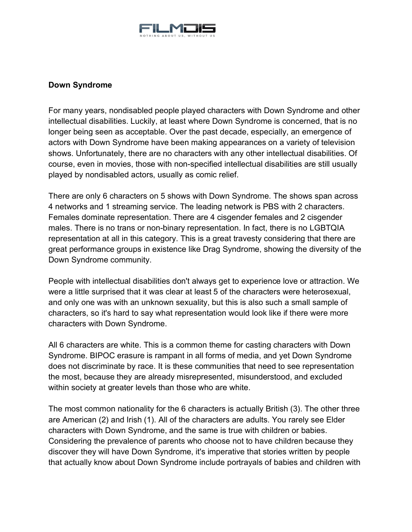

## <span id="page-22-0"></span>**Down Syndrome**

For many years, nondisabled people played characters with Down Syndrome and other intellectual disabilities. Luckily, at least where Down Syndrome is concerned, that is no longer being seen as acceptable. Over the past decade, especially, an emergence of actors with Down Syndrome have been making appearances on a variety of television shows. Unfortunately, there are no characters with any other intellectual disabilities. Of course, even in movies, those with non-specified intellectual disabilities are still usually played by nondisabled actors, usually as comic relief.

There are only 6 characters on 5 shows with Down Syndrome. The shows span across 4 networks and 1 streaming service. The leading network is PBS with 2 characters. Females dominate representation. There are 4 cisgender females and 2 cisgender males. There is no trans or non-binary representation. In fact, there is no LGBTQIA representation at all in this category. This is a great travesty considering that there are great performance groups in existence like Drag Syndrome, showing the diversity of the Down Syndrome community.

People with intellectual disabilities don't always get to experience love or attraction. We were a little surprised that it was clear at least 5 of the characters were heterosexual, and only one was with an unknown sexuality, but this is also such a small sample of characters, so it's hard to say what representation would look like if there were more characters with Down Syndrome.

All 6 characters are white. This is a common theme for casting characters with Down Syndrome. BIPOC erasure is rampant in all forms of media, and yet Down Syndrome does not discriminate by race. It is these communities that need to see representation the most, because they are already misrepresented, misunderstood, and excluded within society at greater levels than those who are white.

The most common nationality for the 6 characters is actually British (3). The other three are American (2) and Irish (1). All of the characters are adults. You rarely see Elder characters with Down Syndrome, and the same is true with children or babies. Considering the prevalence of parents who choose not to have children because they discover they will have Down Syndrome, it's imperative that stories written by people that actually know about Down Syndrome include portrayals of babies and children with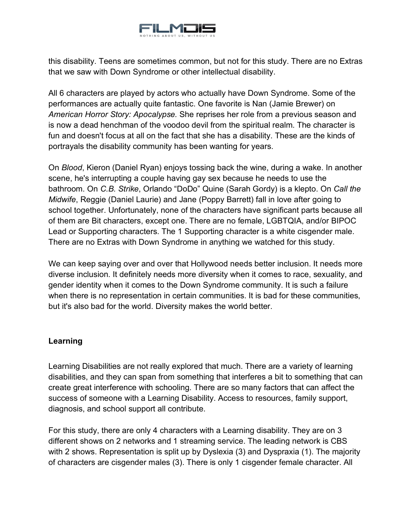

this disability. Teens are sometimes common, but not for this study. There are no Extras that we saw with Down Syndrome or other intellectual disability.

All 6 characters are played by actors who actually have Down Syndrome. Some of the performances are actually quite fantastic. One favorite is Nan (Jamie Brewer) on *American Horror Story: Apocalypse.* She reprises her role from a previous season and is now a dead henchman of the voodoo devil from the spiritual realm. The character is fun and doesn't focus at all on the fact that she has a disability. These are the kinds of portrayals the disability community has been wanting for years.

On *Blood*, Kieron (Daniel Ryan) enjoys tossing back the wine, during a wake. In another scene, he's interrupting a couple having gay sex because he needs to use the bathroom. On *C.B. Strike*, Orlando "DoDo" Quine (Sarah Gordy) is a klepto. On *Call the Midwife*, Reggie (Daniel Laurie) and Jane (Poppy Barrett) fall in love after going to school together. Unfortunately, none of the characters have significant parts because all of them are Bit characters, except one. There are no female, LGBTQIA, and/or BIPOC Lead or Supporting characters. The 1 Supporting character is a white cisgender male. There are no Extras with Down Syndrome in anything we watched for this study.

We can keep saying over and over that Hollywood needs better inclusion. It needs more diverse inclusion. It definitely needs more diversity when it comes to race, sexuality, and gender identity when it comes to the Down Syndrome community. It is such a failure when there is no representation in certain communities. It is bad for these communities, but it's also bad for the world. Diversity makes the world better.

## <span id="page-23-0"></span>**Learning**

Learning Disabilities are not really explored that much. There are a variety of learning disabilities, and they can span from something that interferes a bit to something that can create great interference with schooling. There are so many factors that can affect the success of someone with a Learning Disability. Access to resources, family support, diagnosis, and school support all contribute.

For this study, there are only 4 characters with a Learning disability. They are on 3 different shows on 2 networks and 1 streaming service. The leading network is CBS with 2 shows. Representation is split up by Dyslexia (3) and Dyspraxia (1). The majority of characters are cisgender males (3). There is only 1 cisgender female character. All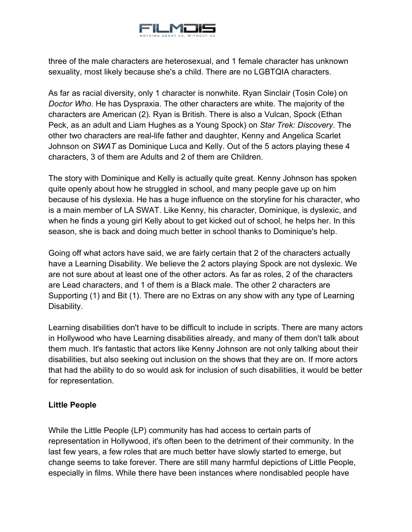

three of the male characters are heterosexual, and 1 female character has unknown sexuality, most likely because she's a child. There are no LGBTQIA characters.

As far as racial diversity, only 1 character is nonwhite. Ryan Sinclair (Tosin Cole) on *Doctor Who*. He has Dyspraxia. The other characters are white. The majority of the characters are American (2). Ryan is British. There is also a Vulcan, Spock (Ethan Peck, as an adult and Liam Hughes as a Young Spock) on *Star Trek: Discovery*. The other two characters are real-life father and daughter, Kenny and Angelica Scarlet Johnson on *SWAT* as Dominique Luca and Kelly. Out of the 5 actors playing these 4 characters, 3 of them are Adults and 2 of them are Children.

The story with Dominique and Kelly is actually quite great. Kenny Johnson has spoken quite openly about how he struggled in school, and many people gave up on him because of his dyslexia. He has a huge influence on the storyline for his character, who is a main member of LA SWAT. Like Kenny, his character, Dominique, is dyslexic, and when he finds a young girl Kelly about to get kicked out of school, he helps her. In this season, she is back and doing much better in school thanks to Dominique's help.

Going off what actors have said, we are fairly certain that 2 of the characters actually have a Learning Disability. We believe the 2 actors playing Spock are not dyslexic. We are not sure about at least one of the other actors. As far as roles, 2 of the characters are Lead characters, and 1 of them is a Black male. The other 2 characters are Supporting (1) and Bit (1). There are no Extras on any show with any type of Learning Disability.

Learning disabilities don't have to be difficult to include in scripts. There are many actors in Hollywood who have Learning disabilities already, and many of them don't talk about them much. It's fantastic that actors like Kenny Johnson are not only talking about their disabilities, but also seeking out inclusion on the shows that they are on. If more actors that had the ability to do so would ask for inclusion of such disabilities, it would be better for representation.

## <span id="page-24-0"></span>**Little People**

While the Little People (LP) community has had access to certain parts of representation in Hollywood, it's often been to the detriment of their community. In the last few years, a few roles that are much better have slowly started to emerge, but change seems to take forever. There are still many harmful depictions of Little People, especially in films. While there have been instances where nondisabled people have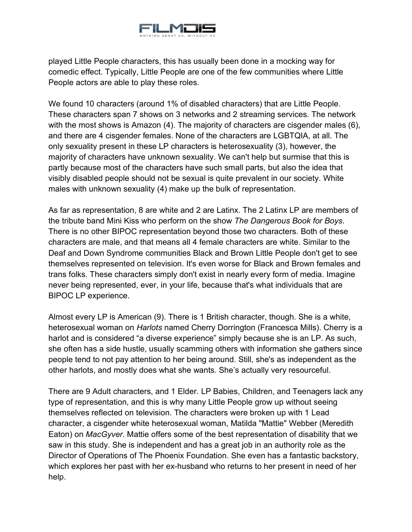

played Little People characters, this has usually been done in a mocking way for comedic effect. Typically, Little People are one of the few communities where Little People actors are able to play these roles.

We found 10 characters (around 1% of disabled characters) that are Little People. These characters span 7 shows on 3 networks and 2 streaming services. The network with the most shows is Amazon (4). The majority of characters are cisgender males (6), and there are 4 cisgender females. None of the characters are LGBTQIA, at all. The only sexuality present in these LP characters is heterosexuality (3), however, the majority of characters have unknown sexuality. We can't help but surmise that this is partly because most of the characters have such small parts, but also the idea that visibly disabled people should not be sexual is quite prevalent in our society. White males with unknown sexuality (4) make up the bulk of representation.

As far as representation, 8 are white and 2 are Latinx. The 2 Latinx LP are members of the tribute band Mini Kiss who perform on the show *The Dangerous Book for Boys*. There is no other BIPOC representation beyond those two characters. Both of these characters are male, and that means all 4 female characters are white. Similar to the Deaf and Down Syndrome communities Black and Brown Little People don't get to see themselves represented on television. It's even worse for Black and Brown females and trans folks. These characters simply don't exist in nearly every form of media. Imagine never being represented, ever, in your life, because that's what individuals that are BIPOC LP experience.

Almost every LP is American (9). There is 1 British character, though. She is a white, heterosexual woman on *Harlots* named Cherry Dorrington (Francesca Mills). Cherry is a harlot and is considered "a diverse experience" simply because she is an LP. As such, she often has a side hustle, usually scamming others with information she gathers since people tend to not pay attention to her being around. Still, she's as independent as the other harlots, and mostly does what she wants. She's actually very resourceful.

There are 9 Adult characters, and 1 Elder. LP Babies, Children, and Teenagers lack any type of representation, and this is why many Little People grow up without seeing themselves reflected on television. The characters were broken up with 1 Lead character, a cisgender white heterosexual woman, Matilda "Mattie" Webber (Meredith Eaton) on *MacGyver*. Mattie offers some of the best representation of disability that we saw in this study. She is independent and has a great job in an authority role as the Director of Operations of The Phoenix Foundation. She even has a fantastic backstory, which explores her past with her ex-husband who returns to her present in need of her help.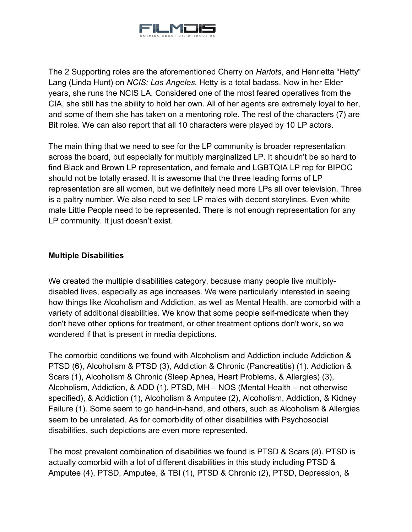

The 2 Supporting roles are the aforementioned Cherry on *Harlots*, and Henrietta "Hetty" Lang (Linda Hunt) on *NCIS: Los Angeles.* Hetty is a total badass. Now in her Elder years, she runs the NCIS LA. Considered one of the most feared operatives from the CIA, she still has the ability to hold her own. All of her agents are extremely loyal to her, and some of them she has taken on a mentoring role. The rest of the characters (7) are Bit roles. We can also report that all 10 characters were played by 10 LP actors.

The main thing that we need to see for the LP community is broader representation across the board, but especially for multiply marginalized LP. It shouldn't be so hard to find Black and Brown LP representation, and female and LGBTQIA LP rep for BIPOC should not be totally erased. It is awesome that the three leading forms of LP representation are all women, but we definitely need more LPs all over television. Three is a paltry number. We also need to see LP males with decent storylines. Even white male Little People need to be represented. There is not enough representation for any LP community. It just doesn't exist.

## <span id="page-26-0"></span>**Multiple Disabilities**

We created the multiple disabilities category, because many people live multiplydisabled lives, especially as age increases. We were particularly interested in seeing how things like Alcoholism and Addiction, as well as Mental Health, are comorbid with a variety of additional disabilities. We know that some people self-medicate when they don't have other options for treatment, or other treatment options don't work, so we wondered if that is present in media depictions.

The comorbid conditions we found with Alcoholism and Addiction include Addiction & PTSD (6), Alcoholism & PTSD (3), Addiction & Chronic (Pancreatitis) (1). Addiction & Scars (1), Alcoholism & Chronic (Sleep Apnea, Heart Problems, & Allergies) (3), Alcoholism, Addiction, & ADD (1), PTSD, MH – NOS (Mental Health – not otherwise specified), & Addiction (1), Alcoholism & Amputee (2), Alcoholism, Addiction, & Kidney Failure (1). Some seem to go hand-in-hand, and others, such as Alcoholism & Allergies seem to be unrelated. As for comorbidity of other disabilities with Psychosocial disabilities, such depictions are even more represented.

The most prevalent combination of disabilities we found is PTSD & Scars (8). PTSD is actually comorbid with a lot of different disabilities in this study including PTSD & Amputee (4), PTSD, Amputee, & TBI (1), PTSD & Chronic (2), PTSD, Depression, &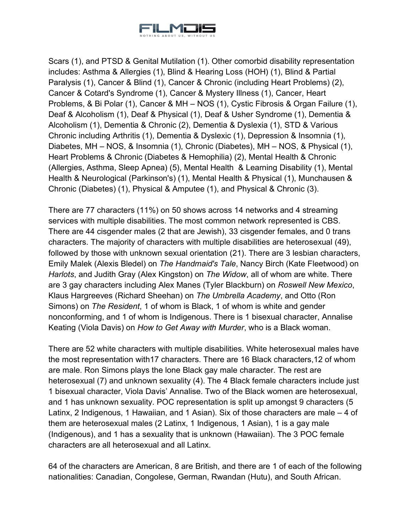

Scars (1), and PTSD & Genital Mutilation (1). Other comorbid disability representation includes: Asthma & Allergies (1), Blind & Hearing Loss (HOH) (1), Blind & Partial Paralysis (1), Cancer & Blind (1), Cancer & Chronic (including Heart Problems) (2), Cancer & Cotard's Syndrome (1), Cancer & Mystery Illness (1), Cancer, Heart Problems, & Bi Polar (1), Cancer & MH – NOS (1), Cystic Fibrosis & Organ Failure (1), Deaf & Alcoholism (1), Deaf & Physical (1), Deaf & Usher Syndrome (1), Dementia & Alcoholism (1), Dementia & Chronic (2), Dementia & Dyslexia (1), STD & Various Chronic including Arthritis (1), Dementia & Dyslexic (1), Depression & Insomnia (1), Diabetes, MH – NOS, & Insomnia (1), Chronic (Diabetes), MH – NOS, & Physical (1), Heart Problems & Chronic (Diabetes & Hemophilia) (2), Mental Health & Chronic (Allergies, Asthma, Sleep Apnea) (5), Mental Health & Learning Disability (1), Mental Health & Neurological (Parkinson's) (1), Mental Health & Physical (1), Munchausen & Chronic (Diabetes) (1), Physical & Amputee (1), and Physical & Chronic (3).

There are 77 characters (11%) on 50 shows across 14 networks and 4 streaming services with multiple disabilities. The most common network represented is CBS. There are 44 cisgender males (2 that are Jewish), 33 cisgender females, and 0 trans characters. The majority of characters with multiple disabilities are heterosexual (49), followed by those with unknown sexual orientation (21). There are 3 lesbian characters, Emily Malek (Alexis Bledel) on *The Handmaid's Tale*, Nancy Birch (Kate Fleetwood) on *Harlots*, and Judith Gray (Alex Kingston) on *The Widow*, all of whom are white. There are 3 gay characters including Alex Manes (Tyler Blackburn) on *Roswell New Mexico*, Klaus Hargreeves (Richard Sheehan) on *The Umbrella Academy*, and Otto (Ron Simons) on *The Resident*, 1 of whom is Black, 1 of whom is white and gender nonconforming, and 1 of whom is Indigenous. There is 1 bisexual character, Annalise Keating (Viola Davis) on *How to Get Away with Murder*, who is a Black woman.

There are 52 white characters with multiple disabilities. White heterosexual males have the most representation with17 characters. There are 16 Black characters,12 of whom are male. Ron Simons plays the lone Black gay male character. The rest are heterosexual (7) and unknown sexuality (4). The 4 Black female characters include just 1 bisexual character, Viola Davis' Annalise. Two of the Black women are heterosexual, and 1 has unknown sexuality. POC representation is split up amongst 9 characters (5 Latinx, 2 Indigenous, 1 Hawaiian, and 1 Asian). Six of those characters are male – 4 of them are heterosexual males (2 Latinx, 1 Indigenous, 1 Asian), 1 is a gay male (Indigenous), and 1 has a sexuality that is unknown (Hawaiian). The 3 POC female characters are all heterosexual and all Latinx.

64 of the characters are American, 8 are British, and there are 1 of each of the following nationalities: Canadian, Congolese, German, Rwandan (Hutu), and South African.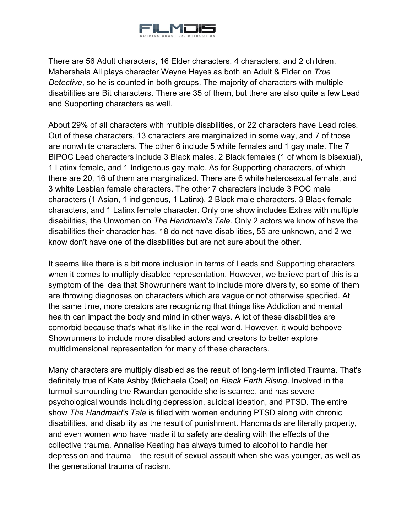

There are 56 Adult characters, 16 Elder characters, 4 characters, and 2 children. Mahershala Ali plays character Wayne Hayes as both an Adult & Elder on *True Detective*, so he is counted in both groups. The majority of characters with multiple disabilities are Bit characters. There are 35 of them, but there are also quite a few Lead and Supporting characters as well.

About 29% of all characters with multiple disabilities, or 22 characters have Lead roles. Out of these characters, 13 characters are marginalized in some way, and 7 of those are nonwhite characters. The other 6 include 5 white females and 1 gay male. The 7 BIPOC Lead characters include 3 Black males, 2 Black females (1 of whom is bisexual), 1 Latinx female, and 1 Indigenous gay male. As for Supporting characters, of which there are 20, 16 of them are marginalized. There are 6 white heterosexual female, and 3 white Lesbian female characters. The other 7 characters include 3 POC male characters (1 Asian, 1 indigenous, 1 Latinx), 2 Black male characters, 3 Black female characters, and 1 Latinx female character. Only one show includes Extras with multiple disabilities, the Unwomen on *The Handmaid's Tale*. Only 2 actors we know of have the disabilities their character has, 18 do not have disabilities, 55 are unknown, and 2 we know don't have one of the disabilities but are not sure about the other.

It seems like there is a bit more inclusion in terms of Leads and Supporting characters when it comes to multiply disabled representation. However, we believe part of this is a symptom of the idea that Showrunners want to include more diversity, so some of them are throwing diagnoses on characters which are vague or not otherwise specified. At the same time, more creators are recognizing that things like Addiction and mental health can impact the body and mind in other ways. A lot of these disabilities are comorbid because that's what it's like in the real world. However, it would behoove Showrunners to include more disabled actors and creators to better explore multidimensional representation for many of these characters.

Many characters are multiply disabled as the result of long-term inflicted Trauma. That's definitely true of Kate Ashby (Michaela Coel) on *Black Earth Rising*. Involved in the turmoil surrounding the Rwandan genocide she is scarred, and has severe psychological wounds including depression, suicidal ideation, and PTSD. The entire show *The Handmaid's Tale* is filled with women enduring PTSD along with chronic disabilities, and disability as the result of punishment. Handmaids are literally property, and even women who have made it to safety are dealing with the effects of the collective trauma. Annalise Keating has always turned to alcohol to handle her depression and trauma – the result of sexual assault when she was younger, as well as the generational trauma of racism.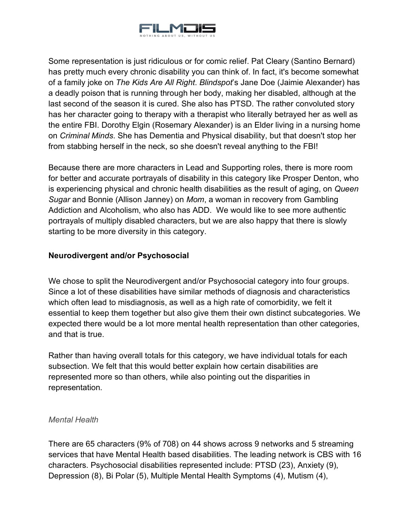

Some representation is just ridiculous or for comic relief. Pat Cleary (Santino Bernard) has pretty much every chronic disability you can think of. In fact, it's become somewhat of a family joke on *The Kids Are All Right*. *Blindspot*'s Jane Doe (Jaimie Alexander) has a deadly poison that is running through her body, making her disabled, although at the last second of the season it is cured. She also has PTSD. The rather convoluted story has her character going to therapy with a therapist who literally betrayed her as well as the entire FBI. Dorothy Elgin (Rosemary Alexander) is an Elder living in a nursing home on *Criminal Minds*. She has Dementia and Physical disability, but that doesn't stop her from stabbing herself in the neck, so she doesn't reveal anything to the FBI!

Because there are more characters in Lead and Supporting roles, there is more room for better and accurate portrayals of disability in this category like Prosper Denton, who is experiencing physical and chronic health disabilities as the result of aging, on *Queen Sugar* and Bonnie (Allison Janney) on *Mom*, a woman in recovery from Gambling Addiction and Alcoholism, who also has ADD. We would like to see more authentic portrayals of multiply disabled characters, but we are also happy that there is slowly starting to be more diversity in this category.

#### <span id="page-29-0"></span>**Neurodivergent and/or Psychosocial**

We chose to split the Neurodivergent and/or Psychosocial category into four groups. Since a lot of these disabilities have similar methods of diagnosis and characteristics which often lead to misdiagnosis, as well as a high rate of comorbidity, we felt it essential to keep them together but also give them their own distinct subcategories. We expected there would be a lot more mental health representation than other categories, and that is true.

Rather than having overall totals for this category, we have individual totals for each subsection. We felt that this would better explain how certain disabilities are represented more so than others, while also pointing out the disparities in representation.

#### <span id="page-29-1"></span>*Mental Health*

There are 65 characters (9% of 708) on 44 shows across 9 networks and 5 streaming services that have Mental Health based disabilities. The leading network is CBS with 16 characters. Psychosocial disabilities represented include: PTSD (23), Anxiety (9), Depression (8), Bi Polar (5), Multiple Mental Health Symptoms (4), Mutism (4),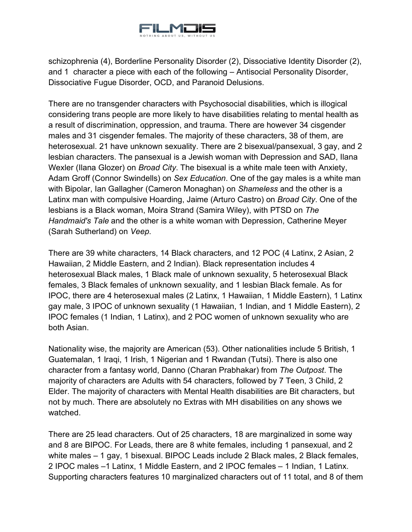

schizophrenia (4), Borderline Personality Disorder (2), Dissociative Identity Disorder (2), and 1 character a piece with each of the following – Antisocial Personality Disorder, Dissociative Fugue Disorder, OCD, and Paranoid Delusions.

There are no transgender characters with Psychosocial disabilities, which is illogical considering trans people are more likely to have disabilities relating to mental health as a result of discrimination, oppression, and trauma. There are however 34 cisgender males and 31 cisgender females. The majority of these characters, 38 of them, are heterosexual. 21 have unknown sexuality. There are 2 bisexual/pansexual, 3 gay, and 2 lesbian characters. The pansexual is a Jewish woman with Depression and SAD, Ilana Wexler (Ilana Glozer) on *Broad City*. The bisexual is a white male teen with Anxiety, Adam Groff (Connor Swindells) on *Sex Education*. One of the gay males is a white man with Bipolar, Ian Gallagher (Cameron Monaghan) on *Shameless* and the other is a Latinx man with compulsive Hoarding, Jaime (Arturo Castro) on *Broad City*. One of the lesbians is a Black woman, Moira Strand (Samira Wiley), with PTSD on *The Handmaid's Tale* and the other is a white woman with Depression, Catherine Meyer (Sarah Sutherland) on *Veep*.

There are 39 white characters, 14 Black characters, and 12 POC (4 Latinx, 2 Asian, 2 Hawaiian, 2 Middle Eastern, and 2 Indian). Black representation includes 4 heterosexual Black males, 1 Black male of unknown sexuality, 5 heterosexual Black females, 3 Black females of unknown sexuality, and 1 lesbian Black female. As for IPOC, there are 4 heterosexual males (2 Latinx, 1 Hawaiian, 1 Middle Eastern), 1 Latinx gay male, 3 IPOC of unknown sexuality (1 Hawaiian, 1 Indian, and 1 Middle Eastern), 2 IPOC females (1 Indian, 1 Latinx), and 2 POC women of unknown sexuality who are both Asian.

Nationality wise, the majority are American (53). Other nationalities include 5 British, 1 Guatemalan, 1 Iraqi, 1 Irish, 1 Nigerian and 1 Rwandan (Tutsi). There is also one character from a fantasy world, Danno (Charan Prabhakar) from *The Outpost*. The majority of characters are Adults with 54 characters, followed by 7 Teen, 3 Child, 2 Elder. The majority of characters with Mental Health disabilities are Bit characters, but not by much. There are absolutely no Extras with MH disabilities on any shows we watched.

There are 25 lead characters. Out of 25 characters, 18 are marginalized in some way and 8 are BIPOC. For Leads, there are 8 white females, including 1 pansexual, and 2 white males – 1 gay, 1 bisexual. BIPOC Leads include 2 Black males, 2 Black females, 2 IPOC males –1 Latinx, 1 Middle Eastern, and 2 IPOC females – 1 Indian, 1 Latinx. Supporting characters features 10 marginalized characters out of 11 total, and 8 of them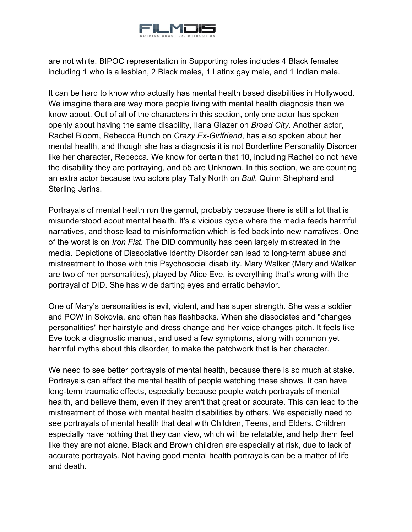

are not white. BIPOC representation in Supporting roles includes 4 Black females including 1 who is a lesbian, 2 Black males, 1 Latinx gay male, and 1 Indian male.

It can be hard to know who actually has mental health based disabilities in Hollywood. We imagine there are way more people living with mental health diagnosis than we know about. Out of all of the characters in this section, only one actor has spoken openly about having the same disability, Ilana Glazer on *Broad City*. Another actor, Rachel Bloom, Rebecca Bunch on *Crazy Ex-Girlfriend*, has also spoken about her mental health, and though she has a diagnosis it is not Borderline Personality Disorder like her character, Rebecca. We know for certain that 10, including Rachel do not have the disability they are portraying, and 55 are Unknown. In this section, we are counting an extra actor because two actors play Tally North on *Bull*, Quinn Shephard and Sterling Jerins.

Portrayals of mental health run the gamut, probably because there is still a lot that is misunderstood about mental health. It's a vicious cycle where the media feeds harmful narratives, and those lead to misinformation which is fed back into new narratives. One of the worst is on *Iron Fist.* The DID community has been largely mistreated in the media. Depictions of Dissociative Identity Disorder can lead to long-term abuse and mistreatment to those with this Psychosocial disability. Mary Walker (Mary and Walker are two of her personalities), played by Alice Eve, is everything that's wrong with the portrayal of DID. She has wide darting eyes and erratic behavior.

One of Mary's personalities is evil, violent, and has super strength. She was a soldier and POW in Sokovia, and often has flashbacks. When she dissociates and "changes personalities" her hairstyle and dress change and her voice changes pitch. It feels like Eve took a diagnostic manual, and used a few symptoms, along with common yet harmful myths about this disorder, to make the patchwork that is her character.

We need to see better portrayals of mental health, because there is so much at stake. Portrayals can affect the mental health of people watching these shows. It can have long-term traumatic effects, especially because people watch portrayals of mental health, and believe them, even if they aren't that great or accurate. This can lead to the mistreatment of those with mental health disabilities by others. We especially need to see portrayals of mental health that deal with Children, Teens, and Elders. Children especially have nothing that they can view, which will be relatable, and help them feel like they are not alone. Black and Brown children are especially at risk, due to lack of accurate portrayals. Not having good mental health portrayals can be a matter of life and death.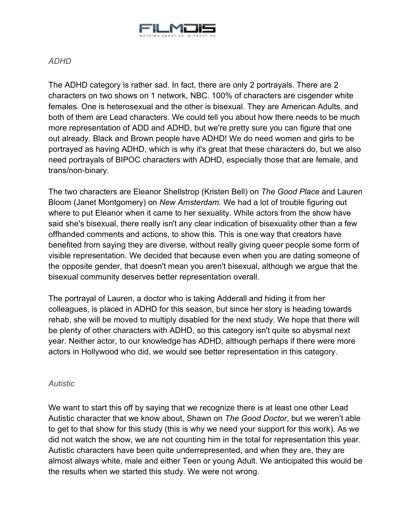

## <span id="page-32-0"></span>*ADHD*

The ADHD category is rather sad. In fact, there are only 2 portrayals. There are 2 characters on two shows on 1 network, NBC. 100% of characters are cisgender white females. One is heterosexual and the other is bisexual. They are American Adults, and both of them are Lead characters. We could tell you about how there needs to be much more representation of ADD and ADHD, but we're pretty sure you can figure that one out already. Black and Brown people have ADHD! We do need women and girls to be portrayed as having ADHD, which is why it's great that these characters do, but we also need portrayals of BIPOC characters with ADHD, especially those that are female, and trans/non-binary.

The two characters are Eleanor Shellstrop (Kristen Bell) on *The Good Place* and Lauren Bloom (Janet Montgomery) on *New Amsterdam*. We had a lot of trouble figuring out where to put Eleanor when it came to her sexuality. While actors from the show have said she's bisexual, there really isn't any clear indication of bisexuality other than a few offhanded comments and actions, to show this. This is one way that creators have benefited from saying they are diverse, without really giving queer people some form of visible representation. We decided that because even when you are dating someone of the opposite gender, that doesn't mean you aren't bisexual, although we argue that the bisexual community deserves better representation overall.

The portrayal of Lauren, a doctor who is taking Adderall and hiding it from her colleagues, is placed in ADHD for this season, but since her story is heading towards rehab, she will be moved to multiply disabled for the next study. We hope that there will be plenty of other characters with ADHD, so this category isn't quite so abysmal next year. Neither actor, to our knowledge has ADHD, although perhaps if there were more actors in Hollywood who did, we would see better representation in this category.

## <span id="page-32-1"></span>*Autistic*

We want to start this off by saying that we recognize there is at least one other Lead Autistic character that we know about, Shawn on *The Good Doctor*, but we weren't able to get to that show for this study (this is why we need your support for this work). As we did not watch the show, we are not counting him in the total for representation this year. Autistic characters have been quite underrepresented, and when they are, they are almost always white, male and either Teen or young Adult. We anticipated this would be the results when we started this study. We were not wrong.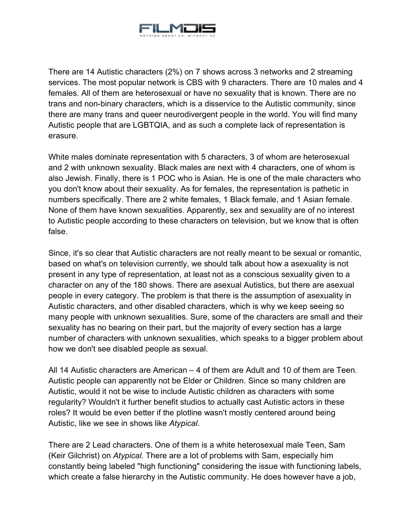

There are 14 Autistic characters (2%) on 7 shows across 3 networks and 2 streaming services. The most popular network is CBS with 9 characters. There are 10 males and 4 females. All of them are heterosexual or have no sexuality that is known. There are no trans and non-binary characters, which is a disservice to the Autistic community, since there are many trans and queer neurodivergent people in the world. You will find many Autistic people that are LGBTQIA, and as such a complete lack of representation is erasure.

White males dominate representation with 5 characters, 3 of whom are heterosexual and 2 with unknown sexuality. Black males are next with 4 characters, one of whom is also Jewish. Finally, there is 1 POC who is Asian. He is one of the male characters who you don't know about their sexuality. As for females, the representation is pathetic in numbers specifically. There are 2 white females, 1 Black female, and 1 Asian female. None of them have known sexualities. Apparently, sex and sexuality are of no interest to Autistic people according to these characters on television, but we know that is often false.

Since, it's so clear that Autistic characters are not really meant to be sexual or romantic, based on what's on television currently, we should talk about how a asexuality is not present in any type of representation, at least not as a conscious sexuality given to a character on any of the 180 shows. There are asexual Autistics, but there are asexual people in every category. The problem is that there is the assumption of asexuality in Autistic characters, and other disabled characters, which is why we keep seeing so many people with unknown sexualities. Sure, some of the characters are small and their sexuality has no bearing on their part, but the majority of every section has a large number of characters with unknown sexualities, which speaks to a bigger problem about how we don't see disabled people as sexual.

All 14 Autistic characters are American – 4 of them are Adult and 10 of them are Teen. Autistic people can apparently not be Elder or Children. Since so many children are Autistic, would it not be wise to include Autistic children as characters with some regularity? Wouldn't it further benefit studios to actually cast Autistic actors in these roles? It would be even better if the plotline wasn't mostly centered around being Autistic, like we see in shows like *Atypical*.

There are 2 Lead characters. One of them is a white heterosexual male Teen, Sam (Keir Gilchrist) on *Atypical*. There are a lot of problems with Sam, especially him constantly being labeled "high functioning" considering the issue with functioning labels, which create a false hierarchy in the Autistic community. He does however have a job,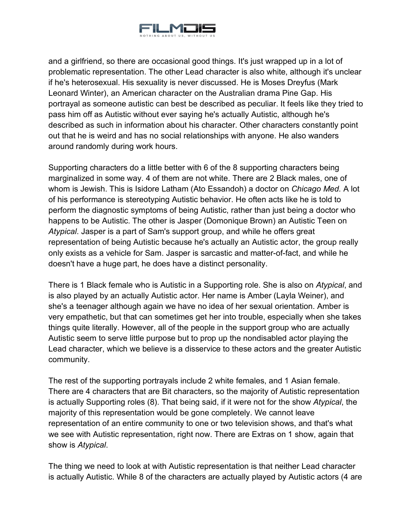

and a girlfriend, so there are occasional good things. It's just wrapped up in a lot of problematic representation. The other Lead character is also white, although it's unclear if he's heterosexual. His sexuality is never discussed. He is Moses Dreyfus (Mark Leonard Winter), an American character on the Australian drama Pine Gap. His portrayal as someone autistic can best be described as peculiar. It feels like they tried to pass him off as Autistic without ever saying he's actually Autistic, although he's described as such in information about his character. Other characters constantly point out that he is weird and has no social relationships with anyone. He also wanders around randomly during work hours.

Supporting characters do a little better with 6 of the 8 supporting characters being marginalized in some way. 4 of them are not white. There are 2 Black males, one of whom is Jewish. This is Isidore Latham (Ato Essandoh) a doctor on *Chicago Med.* A lot of his performance is stereotyping Autistic behavior. He often acts like he is told to perform the diagnostic symptoms of being Autistic, rather than just being a doctor who happens to be Autistic. The other is Jasper (Domonique Brown) an Autistic Teen on *Atypical*. Jasper is a part of Sam's support group, and while he offers great representation of being Autistic because he's actually an Autistic actor, the group really only exists as a vehicle for Sam. Jasper is sarcastic and matter-of-fact, and while he doesn't have a huge part, he does have a distinct personality.

There is 1 Black female who is Autistic in a Supporting role. She is also on *Atypical*, and is also played by an actually Autistic actor. Her name is Amber (Layla Weiner), and she's a teenager although again we have no idea of her sexual orientation. Amber is very empathetic, but that can sometimes get her into trouble, especially when she takes things quite literally. However, all of the people in the support group who are actually Autistic seem to serve little purpose but to prop up the nondisabled actor playing the Lead character, which we believe is a disservice to these actors and the greater Autistic community.

The rest of the supporting portrayals include 2 white females, and 1 Asian female. There are 4 characters that are Bit characters, so the majority of Autistic representation is actually Supporting roles (8). That being said, if it were not for the show *Atypical*, the majority of this representation would be gone completely. We cannot leave representation of an entire community to one or two television shows, and that's what we see with Autistic representation, right now. There are Extras on 1 show, again that show is *Atypical*.

The thing we need to look at with Autistic representation is that neither Lead character is actually Autistic. While 8 of the characters are actually played by Autistic actors (4 are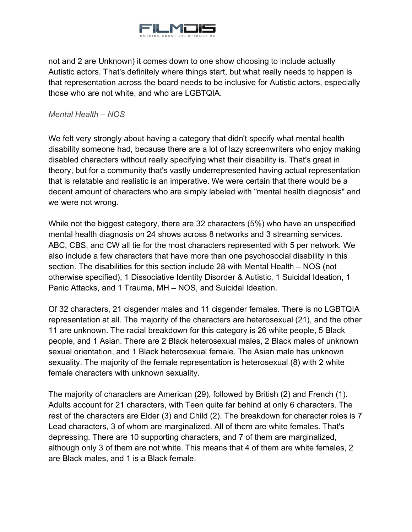

not and 2 are Unknown) it comes down to one show choosing to include actually Autistic actors. That's definitely where things start, but what really needs to happen is that representation across the board needs to be inclusive for Autistic actors, especially those who are not white, and who are LGBTQIA.

<span id="page-35-0"></span>*Mental Health – NOS*

We felt very strongly about having a category that didn't specify what mental health disability someone had, because there are a lot of lazy screenwriters who enjoy making disabled characters without really specifying what their disability is. That's great in theory, but for a community that's vastly underrepresented having actual representation that is relatable and realistic is an imperative. We were certain that there would be a decent amount of characters who are simply labeled with "mental health diagnosis" and we were not wrong.

While not the biggest category, there are 32 characters (5%) who have an unspecified mental health diagnosis on 24 shows across 8 networks and 3 streaming services. ABC, CBS, and CW all tie for the most characters represented with 5 per network. We also include a few characters that have more than one psychosocial disability in this section. The disabilities for this section include 28 with Mental Health – NOS (not otherwise specified), 1 Dissociative Identity Disorder & Autistic, 1 Suicidal Ideation, 1 Panic Attacks, and 1 Trauma, MH – NOS, and Suicidal Ideation.

Of 32 characters, 21 cisgender males and 11 cisgender females. There is no LGBTQIA representation at all. The majority of the characters are heterosexual (21), and the other 11 are unknown. The racial breakdown for this category is 26 white people, 5 Black people, and 1 Asian. There are 2 Black heterosexual males, 2 Black males of unknown sexual orientation, and 1 Black heterosexual female. The Asian male has unknown sexuality. The majority of the female representation is heterosexual (8) with 2 white female characters with unknown sexuality.

The majority of characters are American (29), followed by British (2) and French (1). Adults account for 21 characters, with Teen quite far behind at only 6 characters. The rest of the characters are Elder (3) and Child (2). The breakdown for character roles is 7 Lead characters, 3 of whom are marginalized. All of them are white females. That's depressing. There are 10 supporting characters, and 7 of them are marginalized, although only 3 of them are not white. This means that 4 of them are white females, 2 are Black males, and 1 is a Black female.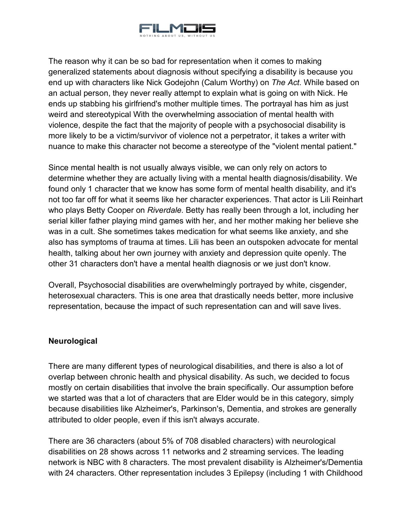

The reason why it can be so bad for representation when it comes to making generalized statements about diagnosis without specifying a disability is because you end up with characters like Nick Godejohn (Calum Worthy) on *The Act*. While based on an actual person, they never really attempt to explain what is going on with Nick. He ends up stabbing his girlfriend's mother multiple times. The portrayal has him as just weird and stereotypical With the overwhelming association of mental health with violence, despite the fact that the majority of people with a psychosocial disability is more likely to be a victim/survivor of violence not a perpetrator, it takes a writer with nuance to make this character not become a stereotype of the "violent mental patient."

Since mental health is not usually always visible, we can only rely on actors to determine whether they are actually living with a mental health diagnosis/disability. We found only 1 character that we know has some form of mental health disability, and it's not too far off for what it seems like her character experiences. That actor is Lili Reinhart who plays Betty Cooper on *Riverdale*. Betty has really been through a lot, including her serial killer father playing mind games with her, and her mother making her believe she was in a cult. She sometimes takes medication for what seems like anxiety, and she also has symptoms of trauma at times. Lili has been an outspoken advocate for mental health, talking about her own journey with anxiety and depression quite openly. The other 31 characters don't have a mental health diagnosis or we just don't know.

Overall, Psychosocial disabilities are overwhelmingly portrayed by white, cisgender, heterosexual characters. This is one area that drastically needs better, more inclusive representation, because the impact of such representation can and will save lives.

## <span id="page-36-0"></span>**Neurological**

There are many different types of neurological disabilities, and there is also a lot of overlap between chronic health and physical disability. As such, we decided to focus mostly on certain disabilities that involve the brain specifically. Our assumption before we started was that a lot of characters that are Elder would be in this category, simply because disabilities like Alzheimer's, Parkinson's, Dementia, and strokes are generally attributed to older people, even if this isn't always accurate.

There are 36 characters (about 5% of 708 disabled characters) with neurological disabilities on 28 shows across 11 networks and 2 streaming services. The leading network is NBC with 8 characters. The most prevalent disability is Alzheimer's/Dementia with 24 characters. Other representation includes 3 Epilepsy (including 1 with Childhood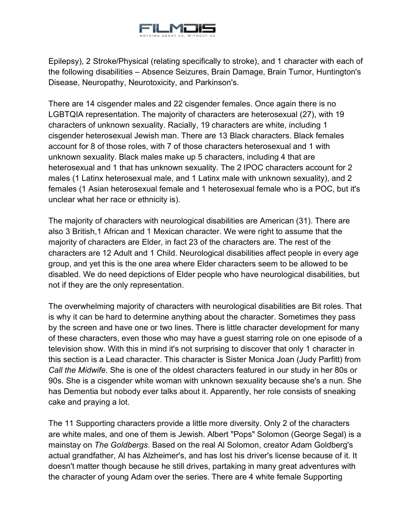

Epilepsy), 2 Stroke/Physical (relating specifically to stroke), and 1 character with each of the following disabilities – Absence Seizures, Brain Damage, Brain Tumor, Huntington's Disease, Neuropathy, Neurotoxicity, and Parkinson's.

There are 14 cisgender males and 22 cisgender females. Once again there is no LGBTQIA representation. The majority of characters are heterosexual (27), with 19 characters of unknown sexuality. Racially, 19 characters are white, including 1 cisgender heterosexual Jewish man. There are 13 Black characters. Black females account for 8 of those roles, with 7 of those characters heterosexual and 1 with unknown sexuality. Black males make up 5 characters, including 4 that are heterosexual and 1 that has unknown sexuality. The 2 IPOC characters account for 2 males (1 Latinx heterosexual male, and 1 Latinx male with unknown sexuality), and 2 females (1 Asian heterosexual female and 1 heterosexual female who is a POC, but it's unclear what her race or ethnicity is).

The majority of characters with neurological disabilities are American (31). There are also 3 British,1 African and 1 Mexican character. We were right to assume that the majority of characters are Elder, in fact 23 of the characters are. The rest of the characters are 12 Adult and 1 Child. Neurological disabilities affect people in every age group, and yet this is the one area where Elder characters seem to be allowed to be disabled. We do need depictions of Elder people who have neurological disabilities, but not if they are the only representation.

The overwhelming majority of characters with neurological disabilities are Bit roles. That is why it can be hard to determine anything about the character. Sometimes they pass by the screen and have one or two lines. There is little character development for many of these characters, even those who may have a guest starring role on one episode of a television show. With this in mind it's not surprising to discover that only 1 character in this section is a Lead character. This character is Sister Monica Joan (Judy Parfitt) from *Call the Midwife*. She is one of the oldest characters featured in our study in her 80s or 90s. She is a cisgender white woman with unknown sexuality because she's a nun. She has Dementia but nobody ever talks about it. Apparently, her role consists of sneaking cake and praying a lot.

The 11 Supporting characters provide a little more diversity. Only 2 of the characters are white males, and one of them is Jewish. Albert "Pops" Solomon (George Segal) is a mainstay on *The Goldbergs*. Based on the real Al Solomon, creator Adam Goldberg's actual grandfather, Al has Alzheimer's, and has lost his driver's license because of it. It doesn't matter though because he still drives, partaking in many great adventures with the character of young Adam over the series. There are 4 white female Supporting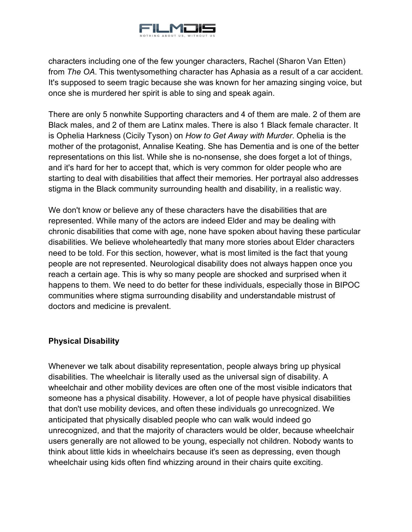

characters including one of the few younger characters, Rachel (Sharon Van Etten) from *The OA*. This twentysomething character has Aphasia as a result of a car accident. It's supposed to seem tragic because she was known for her amazing singing voice, but once she is murdered her spirit is able to sing and speak again.

There are only 5 nonwhite Supporting characters and 4 of them are male. 2 of them are Black males, and 2 of them are Latinx males. There is also 1 Black female character. It is Ophelia Harkness (Cicily Tyson) on *How to Get Away with Murder*. Ophelia is the mother of the protagonist, Annalise Keating. She has Dementia and is one of the better representations on this list. While she is no-nonsense, she does forget a lot of things, and it's hard for her to accept that, which is very common for older people who are starting to deal with disabilities that affect their memories. Her portrayal also addresses stigma in the Black community surrounding health and disability, in a realistic way.

We don't know or believe any of these characters have the disabilities that are represented. While many of the actors are indeed Elder and may be dealing with chronic disabilities that come with age, none have spoken about having these particular disabilities. We believe wholeheartedly that many more stories about Elder characters need to be told. For this section, however, what is most limited is the fact that young people are not represented. Neurological disability does not always happen once you reach a certain age. This is why so many people are shocked and surprised when it happens to them. We need to do better for these individuals, especially those in BIPOC communities where stigma surrounding disability and understandable mistrust of doctors and medicine is prevalent.

## <span id="page-38-0"></span>**Physical Disability**

Whenever we talk about disability representation, people always bring up physical disabilities. The wheelchair is literally used as the universal sign of disability. A wheelchair and other mobility devices are often one of the most visible indicators that someone has a physical disability. However, a lot of people have physical disabilities that don't use mobility devices, and often these individuals go unrecognized. We anticipated that physically disabled people who can walk would indeed go unrecognized, and that the majority of characters would be older, because wheelchair users generally are not allowed to be young, especially not children. Nobody wants to think about little kids in wheelchairs because it's seen as depressing, even though wheelchair using kids often find whizzing around in their chairs quite exciting.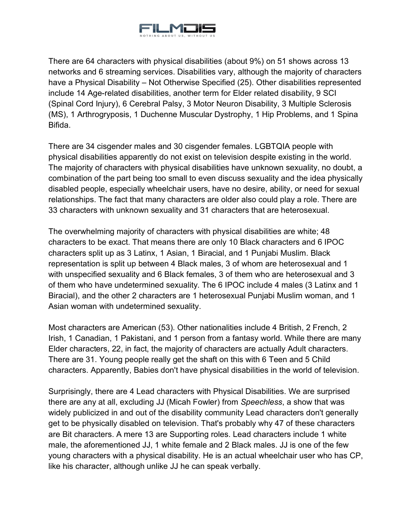

There are 64 characters with physical disabilities (about 9%) on 51 shows across 13 networks and 6 streaming services. Disabilities vary, although the majority of characters have a Physical Disability – Not Otherwise Specified (25). Other disabilities represented include 14 Age-related disabilities, another term for Elder related disability, 9 SCI (Spinal Cord Injury), 6 Cerebral Palsy, 3 Motor Neuron Disability, 3 Multiple Sclerosis (MS), 1 Arthrogryposis, 1 Duchenne Muscular Dystrophy, 1 Hip Problems, and 1 Spina Bifida.

There are 34 cisgender males and 30 cisgender females. LGBTQIA people with physical disabilities apparently do not exist on television despite existing in the world. The majority of characters with physical disabilities have unknown sexuality, no doubt, a combination of the part being too small to even discuss sexuality and the idea physically disabled people, especially wheelchair users, have no desire, ability, or need for sexual relationships. The fact that many characters are older also could play a role. There are 33 characters with unknown sexuality and 31 characters that are heterosexual.

The overwhelming majority of characters with physical disabilities are white; 48 characters to be exact. That means there are only 10 Black characters and 6 IPOC characters split up as 3 Latinx, 1 Asian, 1 Biracial, and 1 Punjabi Muslim. Black representation is split up between 4 Black males, 3 of whom are heterosexual and 1 with unspecified sexuality and 6 Black females, 3 of them who are heterosexual and 3 of them who have undetermined sexuality. The 6 IPOC include 4 males (3 Latinx and 1 Biracial), and the other 2 characters are 1 heterosexual Punjabi Muslim woman, and 1 Asian woman with undetermined sexuality.

Most characters are American (53). Other nationalities include 4 British, 2 French, 2 Irish, 1 Canadian, 1 Pakistani, and 1 person from a fantasy world. While there are many Elder characters, 22, in fact, the majority of characters are actually Adult characters. There are 31. Young people really get the shaft on this with 6 Teen and 5 Child characters. Apparently, Babies don't have physical disabilities in the world of television.

Surprisingly, there are 4 Lead characters with Physical Disabilities. We are surprised there are any at all, excluding JJ (Micah Fowler) from *Speechless*, a show that was widely publicized in and out of the disability community Lead characters don't generally get to be physically disabled on television. That's probably why 47 of these characters are Bit characters. A mere 13 are Supporting roles. Lead characters include 1 white male, the aforementioned JJ, 1 white female and 2 Black males. JJ is one of the few young characters with a physical disability. He is an actual wheelchair user who has CP, like his character, although unlike JJ he can speak verbally.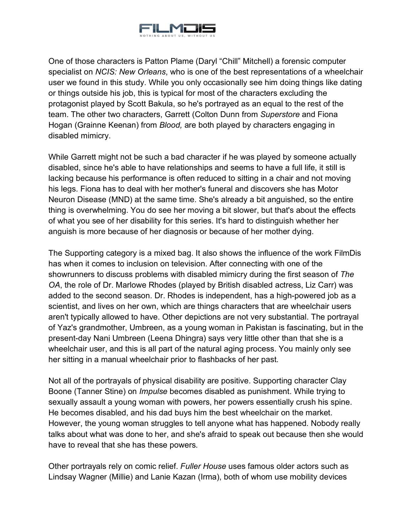

One of those characters is Patton Plame (Daryl "Chill" Mitchell) a forensic computer specialist on *NCIS: New Orleans*, who is one of the best representations of a wheelchair user we found in this study. While you only occasionally see him doing things like dating or things outside his job, this is typical for most of the characters excluding the protagonist played by Scott Bakula, so he's portrayed as an equal to the rest of the team. The other two characters, Garrett (Colton Dunn from *Superstore* and Fiona Hogan (Grainne Keenan) from *Blood,* are both played by characters engaging in disabled mimicry.

While Garrett might not be such a bad character if he was played by someone actually disabled, since he's able to have relationships and seems to have a full life, it still is lacking because his performance is often reduced to sitting in a chair and not moving his legs. Fiona has to deal with her mother's funeral and discovers she has Motor Neuron Disease (MND) at the same time. She's already a bit anguished, so the entire thing is overwhelming. You do see her moving a bit slower, but that's about the effects of what you see of her disability for this series. It's hard to distinguish whether her anguish is more because of her diagnosis or because of her mother dying.

The Supporting category is a mixed bag. It also shows the influence of the work FilmDis has when it comes to inclusion on television. After connecting with one of the showrunners to discuss problems with disabled mimicry during the first season of *The OA*, the role of Dr. Marlowe Rhodes (played by British disabled actress, Liz Carr) was added to the second season. Dr. Rhodes is independent, has a high-powered job as a scientist, and lives on her own, which are things characters that are wheelchair users aren't typically allowed to have. Other depictions are not very substantial. The portrayal of Yaz's grandmother, Umbreen, as a young woman in Pakistan is fascinating, but in the present-day Nani Umbreen (Leena Dhingra) says very little other than that she is a wheelchair user, and this is all part of the natural aging process. You mainly only see her sitting in a manual wheelchair prior to flashbacks of her past.

Not all of the portrayals of physical disability are positive. Supporting character Clay Boone (Tanner Stine) on *Impulse* becomes disabled as punishment. While trying to sexually assault a young woman with powers, her powers essentially crush his spine. He becomes disabled, and his dad buys him the best wheelchair on the market. However, the young woman struggles to tell anyone what has happened. Nobody really talks about what was done to her, and she's afraid to speak out because then she would have to reveal that she has these powers.

Other portrayals rely on comic relief. *Fuller House* uses famous older actors such as Lindsay Wagner (Millie) and Lanie Kazan (Irma), both of whom use mobility devices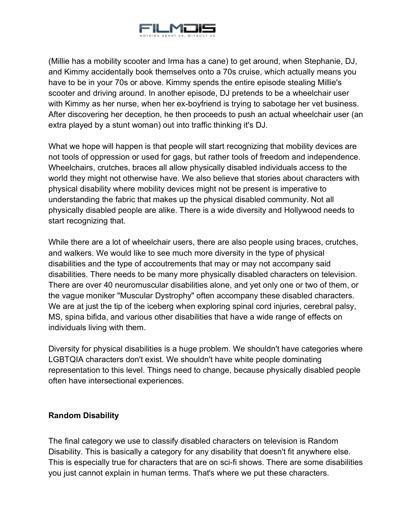

(Millie has a mobility scooter and Irma has a cane) to get around, when Stephanie, DJ, and Kimmy accidentally book themselves onto a 70s cruise, which actually means you have to be in your 70s or above. Kimmy spends the entire episode stealing Millie's scooter and driving around. In another episode, DJ pretends to be a wheelchair user with Kimmy as her nurse, when her ex-boyfriend is trying to sabotage her vet business. After discovering her deception, he then proceeds to push an actual wheelchair user (an extra played by a stunt woman) out into traffic thinking it's DJ.

What we hope will happen is that people will start recognizing that mobility devices are not tools of oppression or used for gags, but rather tools of freedom and independence. Wheelchairs, crutches, braces all allow physically disabled individuals access to the world they might not otherwise have. We also believe that stories about characters with physical disability where mobility devices might not be present is imperative to understanding the fabric that makes up the physical disabled community. Not all physically disabled people are alike. There is a wide diversity and Hollywood needs to start recognizing that.

While there are a lot of wheelchair users, there are also people using braces, crutches, and walkers. We would like to see much more diversity in the type of physical disabilities and the type of accoutrements that may or may not accompany said disabilities. There needs to be many more physically disabled characters on television. There are over 40 neuromuscular disabilities alone, and yet only one or two of them, or the vague moniker "Muscular Dystrophy" often accompany these disabled characters. We are at just the tip of the iceberg when exploring spinal cord injuries, cerebral palsy, MS, spina bifida, and various other disabilities that have a wide range of effects on individuals living with them.

Diversity for physical disabilities is a huge problem. We shouldn't have categories where LGBTQIA characters don't exist. We shouldn't have white people dominating representation to this level. Things need to change, because physically disabled people often have intersectional experiences.

## <span id="page-41-0"></span>**Random Disability**

The final category we use to classify disabled characters on television is Random Disability. This is basically a category for any disability that doesn't fit anywhere else. This is especially true for characters that are on sci-fi shows. There are some disabilities you just cannot explain in human terms. That's where we put these characters.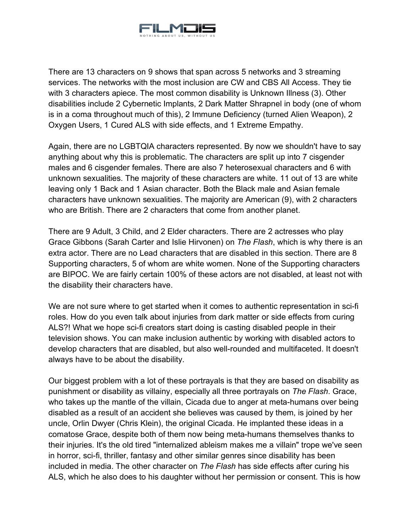

There are 13 characters on 9 shows that span across 5 networks and 3 streaming services. The networks with the most inclusion are CW and CBS All Access. They tie with 3 characters apiece. The most common disability is Unknown Illness (3). Other disabilities include 2 Cybernetic Implants, 2 Dark Matter Shrapnel in body (one of whom is in a coma throughout much of this), 2 Immune Deficiency (turned Alien Weapon), 2 Oxygen Users, 1 Cured ALS with side effects, and 1 Extreme Empathy.

Again, there are no LGBTQIA characters represented. By now we shouldn't have to say anything about why this is problematic. The characters are split up into 7 cisgender males and 6 cisgender females. There are also 7 heterosexual characters and 6 with unknown sexualities. The majority of these characters are white. 11 out of 13 are white leaving only 1 Back and 1 Asian character. Both the Black male and Asian female characters have unknown sexualities. The majority are American (9), with 2 characters who are British. There are 2 characters that come from another planet.

There are 9 Adult, 3 Child, and 2 Elder characters. There are 2 actresses who play Grace Gibbons (Sarah Carter and Islie Hirvonen) on *The Flash*, which is why there is an extra actor. There are no Lead characters that are disabled in this section. There are 8 Supporting characters, 5 of whom are white women. None of the Supporting characters are BIPOC. We are fairly certain 100% of these actors are not disabled, at least not with the disability their characters have.

We are not sure where to get started when it comes to authentic representation in sci-fi roles. How do you even talk about injuries from dark matter or side effects from curing ALS?! What we hope sci-fi creators start doing is casting disabled people in their television shows. You can make inclusion authentic by working with disabled actors to develop characters that are disabled, but also well-rounded and multifaceted. It doesn't always have to be about the disability.

Our biggest problem with a lot of these portrayals is that they are based on disability as punishment or disability as villainy, especially all three portrayals on *The Flash*. Grace, who takes up the mantle of the villain, Cicada due to anger at meta-humans over being disabled as a result of an accident she believes was caused by them, is joined by her uncle, Orlin Dwyer (Chris Klein), the original Cicada. He implanted these ideas in a comatose Grace, despite both of them now being meta-humans themselves thanks to their injuries. It's the old tired "internalized ableism makes me a villain" trope we've seen in horror, sci-fi, thriller, fantasy and other similar genres since disability has been included in media. The other character on *The Flash* has side effects after curing his ALS, which he also does to his daughter without her permission or consent. This is how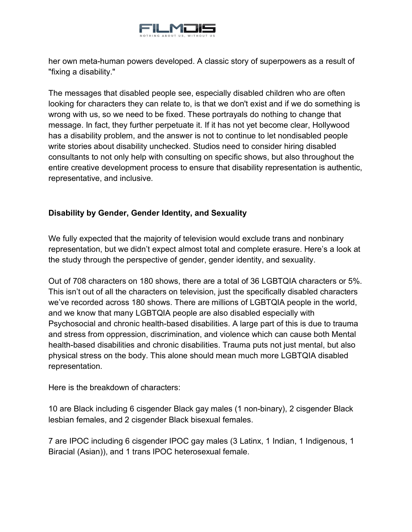

her own meta-human powers developed. A classic story of superpowers as a result of "fixing a disability."

The messages that disabled people see, especially disabled children who are often looking for characters they can relate to, is that we don't exist and if we do something is wrong with us, so we need to be fixed. These portrayals do nothing to change that message. In fact, they further perpetuate it. If it has not yet become clear, Hollywood has a disability problem, and the answer is not to continue to let nondisabled people write stories about disability unchecked. Studios need to consider hiring disabled consultants to not only help with consulting on specific shows, but also throughout the entire creative development process to ensure that disability representation is authentic, representative, and inclusive.

## <span id="page-43-0"></span>**Disability by Gender, Gender Identity, and Sexuality**

We fully expected that the majority of television would exclude trans and nonbinary representation, but we didn't expect almost total and complete erasure. Here's a look at the study through the perspective of gender, gender identity, and sexuality.

Out of 708 characters on 180 shows, there are a total of 36 LGBTQIA characters or 5%. This isn't out of all the characters on television, just the specifically disabled characters we've recorded across 180 shows. There are millions of LGBTQIA people in the world, and we know that many LGBTQIA people are also disabled especially with Psychosocial and chronic health-based disabilities. A large part of this is due to trauma and stress from oppression, discrimination, and violence which can cause both Mental health-based disabilities and chronic disabilities. Trauma puts not just mental, but also physical stress on the body. This alone should mean much more LGBTQIA disabled representation.

Here is the breakdown of characters:

10 are Black including 6 cisgender Black gay males (1 non-binary), 2 cisgender Black lesbian females, and 2 cisgender Black bisexual females.

7 are IPOC including 6 cisgender IPOC gay males (3 Latinx, 1 Indian, 1 Indigenous, 1 Biracial (Asian)), and 1 trans IPOC heterosexual female.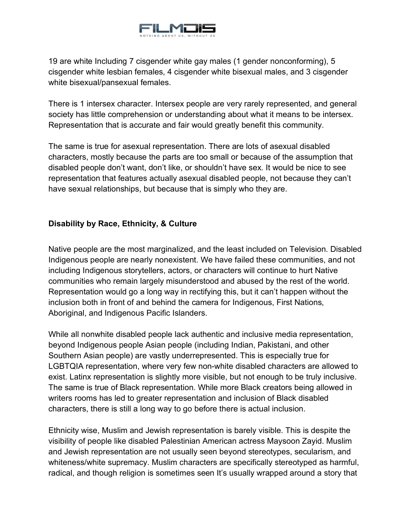

19 are white Including 7 cisgender white gay males (1 gender nonconforming), 5 cisgender white lesbian females, 4 cisgender white bisexual males, and 3 cisgender white bisexual/pansexual females.

There is 1 intersex character. Intersex people are very rarely represented, and general society has little comprehension or understanding about what it means to be intersex. Representation that is accurate and fair would greatly benefit this community.

The same is true for asexual representation. There are lots of asexual disabled characters, mostly because the parts are too small or because of the assumption that disabled people don't want, don't like, or shouldn't have sex. It would be nice to see representation that features actually asexual disabled people, not because they can't have sexual relationships, but because that is simply who they are.

## <span id="page-44-0"></span>**Disability by Race, Ethnicity, & Culture**

Native people are the most marginalized, and the least included on Television. Disabled Indigenous people are nearly nonexistent. We have failed these communities, and not including Indigenous storytellers, actors, or characters will continue to hurt Native communities who remain largely misunderstood and abused by the rest of the world. Representation would go a long way in rectifying this, but it can't happen without the inclusion both in front of and behind the camera for Indigenous, First Nations, Aboriginal, and Indigenous Pacific Islanders.

While all nonwhite disabled people lack authentic and inclusive media representation, beyond Indigenous people Asian people (including Indian, Pakistani, and other Southern Asian people) are vastly underrepresented. This is especially true for LGBTQIA representation, where very few non-white disabled characters are allowed to exist. Latinx representation is slightly more visible, but not enough to be truly inclusive. The same is true of Black representation. While more Black creators being allowed in writers rooms has led to greater representation and inclusion of Black disabled characters, there is still a long way to go before there is actual inclusion.

Ethnicity wise, Muslim and Jewish representation is barely visible. This is despite the visibility of people like disabled Palestinian American actress Maysoon Zayid. Muslim and Jewish representation are not usually seen beyond stereotypes, secularism, and whiteness/white supremacy. Muslim characters are specifically stereotyped as harmful, radical, and though religion is sometimes seen It's usually wrapped around a story that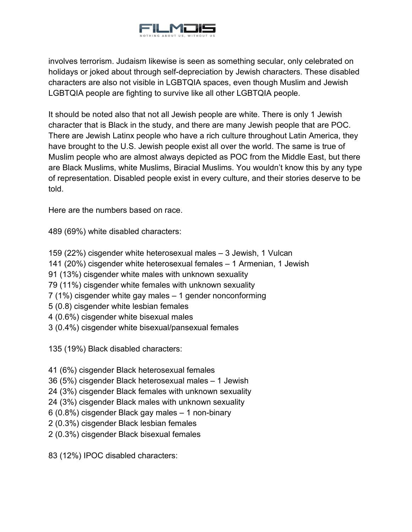

involves terrorism. Judaism likewise is seen as something secular, only celebrated on holidays or joked about through self-depreciation by Jewish characters. These disabled characters are also not visible in LGBTQIA spaces, even though Muslim and Jewish LGBTQIA people are fighting to survive like all other LGBTQIA people.

It should be noted also that not all Jewish people are white. There is only 1 Jewish character that is Black in the study, and there are many Jewish people that are POC. There are Jewish Latinx people who have a rich culture throughout Latin America, they have brought to the U.S. Jewish people exist all over the world. The same is true of Muslim people who are almost always depicted as POC from the Middle East, but there are Black Muslims, white Muslims, Biracial Muslims. You wouldn't know this by any type of representation. Disabled people exist in every culture, and their stories deserve to be told.

Here are the numbers based on race.

489 (69%) white disabled characters:

- 159 (22%) cisgender white heterosexual males 3 Jewish, 1 Vulcan
- 141 (20%) cisgender white heterosexual females 1 Armenian, 1 Jewish
- 91 (13%) cisgender white males with unknown sexuality
- 79 (11%) cisgender white females with unknown sexuality
- 7 (1%) cisgender white gay males 1 gender nonconforming
- 5 (0.8) cisgender white lesbian females
- 4 (0.6%) cisgender white bisexual males
- 3 (0.4%) cisgender white bisexual/pansexual females

135 (19%) Black disabled characters:

- 41 (6%) cisgender Black heterosexual females
- 36 (5%) cisgender Black heterosexual males 1 Jewish
- 24 (3%) cisgender Black females with unknown sexuality
- 24 (3%) cisgender Black males with unknown sexuality
- 6 (0.8%) cisgender Black gay males 1 non-binary
- 2 (0.3%) cisgender Black lesbian females
- 2 (0.3%) cisgender Black bisexual females

83 (12%) IPOC disabled characters: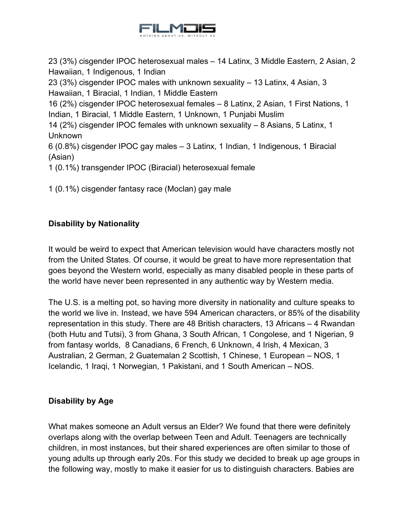

23 (3%) cisgender IPOC heterosexual males – 14 Latinx, 3 Middle Eastern, 2 Asian, 2 Hawaiian, 1 Indigenous, 1 Indian

23 (3%) cisgender IPOC males with unknown sexuality – 13 Latinx, 4 Asian, 3 Hawaiian, 1 Biracial, 1 Indian, 1 Middle Eastern

16 (2%) cisgender IPOC heterosexual females – 8 Latinx, 2 Asian, 1 First Nations, 1 Indian, 1 Biracial, 1 Middle Eastern, 1 Unknown, 1 Punjabi Muslim

14 (2%) cisgender IPOC females with unknown sexuality – 8 Asians, 5 Latinx, 1 Unknown

6 (0.8%) cisgender IPOC gay males – 3 Latinx, 1 Indian, 1 Indigenous, 1 Biracial (Asian)

1 (0.1%) transgender IPOC (Biracial) heterosexual female

1 (0.1%) cisgender fantasy race (Moclan) gay male

## <span id="page-46-0"></span>**Disability by Nationality**

It would be weird to expect that American television would have characters mostly not from the United States. Of course, it would be great to have more representation that goes beyond the Western world, especially as many disabled people in these parts of the world have never been represented in any authentic way by Western media.

The U.S. is a melting pot, so having more diversity in nationality and culture speaks to the world we live in. Instead, we have 594 American characters, or 85% of the disability representation in this study. There are 48 British characters, 13 Africans – 4 Rwandan (both Hutu and Tutsi), 3 from Ghana, 3 South African, 1 Congolese, and 1 Nigerian, 9 from fantasy worlds, 8 Canadians, 6 French, 6 Unknown, 4 Irish, 4 Mexican, 3 Australian, 2 German, 2 Guatemalan 2 Scottish, 1 Chinese, 1 European – NOS, 1 Icelandic, 1 Iraqi, 1 Norwegian, 1 Pakistani, and 1 South American – NOS.

## <span id="page-46-1"></span>**Disability by Age**

What makes someone an Adult versus an Elder? We found that there were definitely overlaps along with the overlap between Teen and Adult. Teenagers are technically children, in most instances, but their shared experiences are often similar to those of young adults up through early 20s. For this study we decided to break up age groups in the following way, mostly to make it easier for us to distinguish characters. Babies are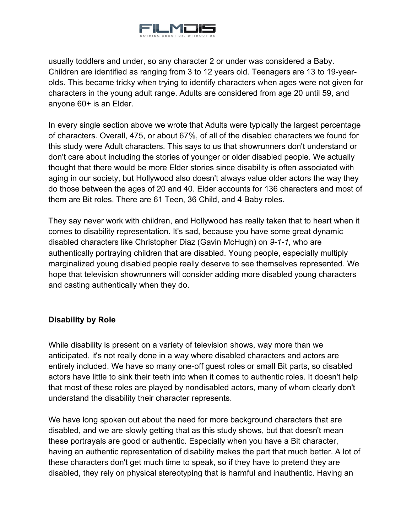

usually toddlers and under, so any character 2 or under was considered a Baby. Children are identified as ranging from 3 to 12 years old. Teenagers are 13 to 19-yearolds. This became tricky when trying to identify characters when ages were not given for characters in the young adult range. Adults are considered from age 20 until 59, and anyone 60+ is an Elder.

In every single section above we wrote that Adults were typically the largest percentage of characters. Overall, 475, or about 67%, of all of the disabled characters we found for this study were Adult characters. This says to us that showrunners don't understand or don't care about including the stories of younger or older disabled people. We actually thought that there would be more Elder stories since disability is often associated with aging in our society, but Hollywood also doesn't always value older actors the way they do those between the ages of 20 and 40. Elder accounts for 136 characters and most of them are Bit roles. There are 61 Teen, 36 Child, and 4 Baby roles.

They say never work with children, and Hollywood has really taken that to heart when it comes to disability representation. It's sad, because you have some great dynamic disabled characters like Christopher Diaz (Gavin McHugh) on *9-1-1*, who are authentically portraying children that are disabled. Young people, especially multiply marginalized young disabled people really deserve to see themselves represented. We hope that television showrunners will consider adding more disabled young characters and casting authentically when they do.

## <span id="page-47-0"></span>**Disability by Role**

While disability is present on a variety of television shows, way more than we anticipated, it's not really done in a way where disabled characters and actors are entirely included. We have so many one-off guest roles or small Bit parts, so disabled actors have little to sink their teeth into when it comes to authentic roles. It doesn't help that most of these roles are played by nondisabled actors, many of whom clearly don't understand the disability their character represents.

We have long spoken out about the need for more background characters that are disabled, and we are slowly getting that as this study shows, but that doesn't mean these portrayals are good or authentic. Especially when you have a Bit character, having an authentic representation of disability makes the part that much better. A lot of these characters don't get much time to speak, so if they have to pretend they are disabled, they rely on physical stereotyping that is harmful and inauthentic. Having an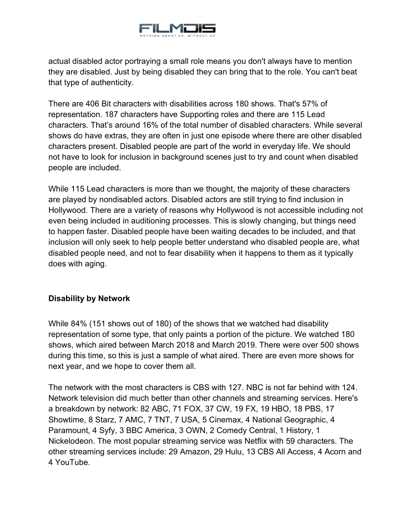

actual disabled actor portraying a small role means you don't always have to mention they are disabled. Just by being disabled they can bring that to the role. You can't beat that type of authenticity.

There are 406 Bit characters with disabilities across 180 shows. That's 57% of representation. 187 characters have Supporting roles and there are 115 Lead characters. That's around 16% of the total number of disabled characters. While several shows do have extras, they are often in just one episode where there are other disabled characters present. Disabled people are part of the world in everyday life. We should not have to look for inclusion in background scenes just to try and count when disabled people are included.

While 115 Lead characters is more than we thought, the majority of these characters are played by nondisabled actors. Disabled actors are still trying to find inclusion in Hollywood. There are a variety of reasons why Hollywood is not accessible including not even being included in auditioning processes. This is slowly changing, but things need to happen faster. Disabled people have been waiting decades to be included, and that inclusion will only seek to help people better understand who disabled people are, what disabled people need, and not to fear disability when it happens to them as it typically does with aging.

## <span id="page-48-0"></span>**Disability by Network**

While 84% (151 shows out of 180) of the shows that we watched had disability representation of some type, that only paints a portion of the picture. We watched 180 shows, which aired between March 2018 and March 2019. There were over 500 shows during this time, so this is just a sample of what aired. There are even more shows for next year, and we hope to cover them all.

The network with the most characters is CBS with 127. NBC is not far behind with 124. Network television did much better than other channels and streaming services. Here's a breakdown by network: 82 ABC, 71 FOX, 37 CW, 19 FX, 19 HBO, 18 PBS, 17 Showtime, 8 Starz, 7 AMC, 7 TNT, 7 USA, 5 Cinemax, 4 National Geographic, 4 Paramount, 4 Syfy, 3 BBC America, 3 OWN, 2 Comedy Central, 1 History, 1 Nickelodeon. The most popular streaming service was Netflix with 59 characters. The other streaming services include: 29 Amazon, 29 Hulu, 13 CBS All Access, 4 Acorn and 4 YouTube.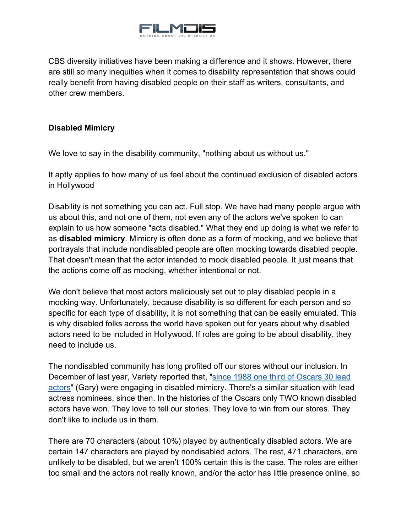

CBS diversity initiatives have been making a difference and it shows. However, there are still so many inequities when it comes to disability representation that shows could really benefit from having disabled people on their staff as writers, consultants, and other crew members.

## <span id="page-49-0"></span>**Disabled Mimicry**

We love to say in the disability community, "nothing about us without us."

It aptly applies to how many of us feel about the continued exclusion of disabled actors in Hollywood

Disability is not something you can act. Full stop. We have had many people argue with us about this, and not one of them, not even any of the actors we've spoken to can explain to us how someone "acts disabled." What they end up doing is what we refer to as **disabled mimicry**. Mimicry is often done as a form of mocking, and we believe that portrayals that include nondisabled people are often mocking towards disabled people. That doesn't mean that the actor intended to mock disabled people. It just means that the actions come off as mocking, whether intentional or not.

We don't believe that most actors maliciously set out to play disabled people in a mocking way. Unfortunately, because disability is so different for each person and so specific for each type of disability, it is not something that can be easily emulated. This is why disabled folks across the world have spoken out for years about why disabled actors need to be included in Hollywood. If roles are going to be about disability, they need to include us.

The nondisabled community has long profited off our stores without our inclusion. In December of last year, Variety reported that, ["since 1988 one third of Oscars 30 lead](https://variety.com/2019/film/news/oscar-and-hollywoods-nearly-invisible-people-with-disabilities-1203422966/)  [actors"](https://variety.com/2019/film/news/oscar-and-hollywoods-nearly-invisible-people-with-disabilities-1203422966/) (Gary) were engaging in disabled mimicry. There's a similar situation with lead actress nominees, since then. In the histories of the Oscars only TWO known disabled actors have won. They love to tell our stories. They love to win from our stores. They don't like to include us in them.

There are 70 characters (about 10%) played by authentically disabled actors. We are certain 147 characters are played by nondisabled actors. The rest, 471 characters, are unlikely to be disabled, but we aren't 100% certain this is the case. The roles are either too small and the actors not really known, and/or the actor has little presence online, so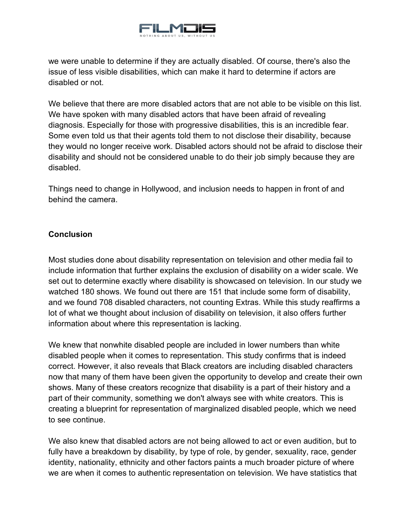

we were unable to determine if they are actually disabled. Of course, there's also the issue of less visible disabilities, which can make it hard to determine if actors are disabled or not.

We believe that there are more disabled actors that are not able to be visible on this list. We have spoken with many disabled actors that have been afraid of revealing diagnosis. Especially for those with progressive disabilities, this is an incredible fear. Some even told us that their agents told them to not disclose their disability, because they would no longer receive work. Disabled actors should not be afraid to disclose their disability and should not be considered unable to do their job simply because they are disabled.

Things need to change in Hollywood, and inclusion needs to happen in front of and behind the camera.

## <span id="page-50-0"></span>**Conclusion**

Most studies done about disability representation on television and other media fail to include information that further explains the exclusion of disability on a wider scale. We set out to determine exactly where disability is showcased on television. In our study we watched 180 shows. We found out there are 151 that include some form of disability, and we found 708 disabled characters, not counting Extras. While this study reaffirms a lot of what we thought about inclusion of disability on television, it also offers further information about where this representation is lacking.

We knew that nonwhite disabled people are included in lower numbers than white disabled people when it comes to representation. This study confirms that is indeed correct. However, it also reveals that Black creators are including disabled characters now that many of them have been given the opportunity to develop and create their own shows. Many of these creators recognize that disability is a part of their history and a part of their community, something we don't always see with white creators. This is creating a blueprint for representation of marginalized disabled people, which we need to see continue.

We also knew that disabled actors are not being allowed to act or even audition, but to fully have a breakdown by disability, by type of role, by gender, sexuality, race, gender identity, nationality, ethnicity and other factors paints a much broader picture of where we are when it comes to authentic representation on television. We have statistics that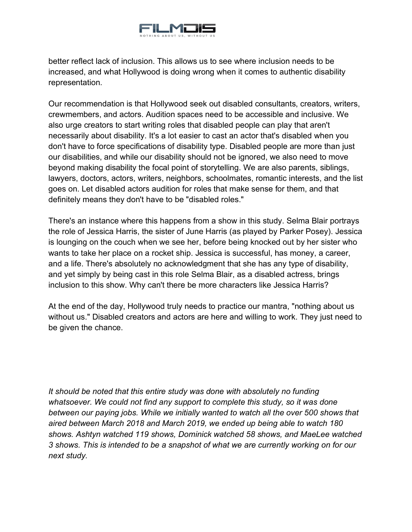

better reflect lack of inclusion. This allows us to see where inclusion needs to be increased, and what Hollywood is doing wrong when it comes to authentic disability representation.

Our recommendation is that Hollywood seek out disabled consultants, creators, writers, crewmembers, and actors. Audition spaces need to be accessible and inclusive. We also urge creators to start writing roles that disabled people can play that aren't necessarily about disability. It's a lot easier to cast an actor that's disabled when you don't have to force specifications of disability type. Disabled people are more than just our disabilities, and while our disability should not be ignored, we also need to move beyond making disability the focal point of storytelling. We are also parents, siblings, lawyers, doctors, actors, writers, neighbors, schoolmates, romantic interests, and the list goes on. Let disabled actors audition for roles that make sense for them, and that definitely means they don't have to be "disabled roles."

There's an instance where this happens from a show in this study. Selma Blair portrays the role of Jessica Harris, the sister of June Harris (as played by Parker Posey). Jessica is lounging on the couch when we see her, before being knocked out by her sister who wants to take her place on a rocket ship. Jessica is successful, has money, a career, and a life. There's absolutely no acknowledgment that she has any type of disability, and yet simply by being cast in this role Selma Blair, as a disabled actress, brings inclusion to this show. Why can't there be more characters like Jessica Harris?

At the end of the day, Hollywood truly needs to practice our mantra, "nothing about us without us." Disabled creators and actors are here and willing to work. They just need to be given the chance.

*It should be noted that this entire study was done with absolutely no funding whatsoever. We could not find any support to complete this study, so it was done between our paying jobs. While we initially wanted to watch all the over 500 shows that aired between March 2018 and March 2019, we ended up being able to watch 180 shows. Ashtyn watched 119 shows, Dominick watched 58 shows, and MaeLee watched 3 shows. This is intended to be a snapshot of what we are currently working on for our next study.*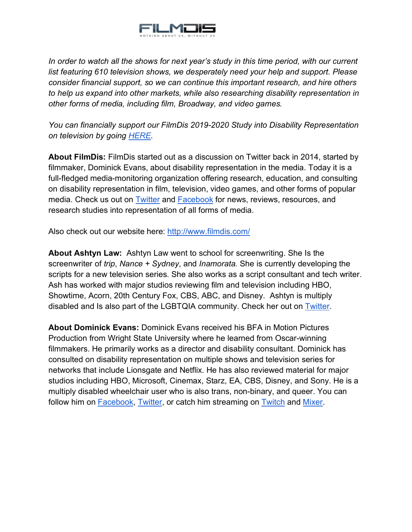

*In order to watch all the shows for next year's study in this time period, with our current list featuring 610 television shows, we desperately need your help and support. Please consider financial support, so we can continue this important research, and hire others to help us expand into other markets, while also researching disability representation in other forms of media, including film, Broadway, and video games.*

*You can financially support our FilmDis 2019-2020 Study into Disability Representation on television by going [HERE.](https://www.gofundme.com/f/filmdis-study-disability-rep-on-tv-20192020?utm_source=customer&utm_medium=copy_link-tip&utm_campaign=p_cp+share-sheet)*

**About FilmDis:** FilmDis started out as a discussion on Twitter back in 2014, started by filmmaker, Dominick Evans, about disability representation in the media. Today it is a full-fledged media-monitoring organization offering research, education, and consulting on disability representation in film, television, video games, and other forms of popular media. Check us out on [Twitter](https://twitter.com/TheRealFilmDis) and [Facebook](https://www.facebook.com/FilmDis) for news, reviews, resources, and research studies into representation of all forms of media.

Also check out our website here:<http://www.filmdis.com/>

**About Ashtyn Law:** Ashtyn Law went to school for screenwriting. She Is the screenwriter of *trip*, *Nance + Sydney*, and *Inamorata.* She is currently developing the scripts for a new television series. She also works as a script consultant and tech writer. Ash has worked with major studios reviewing film and television including HBO, Showtime, Acorn, 20th Century Fox, CBS, ABC, and Disney. Ashtyn is multiply disabled and Is also part of the LGBTQIA community. Check her out on [Twitter.](https://twitter.com/AshtynLaw)

**About Dominick Evans:** Dominick Evans received his BFA in Motion Pictures Production from Wright State University where he learned from Oscar-winning filmmakers. He primarily works as a director and disability consultant. Dominick has consulted on disability representation on multiple shows and television series for networks that include Lionsgate and Netflix. He has also reviewed material for major studios including HBO, Microsoft, Cinemax, Starz, EA, CBS, Disney, and Sony. He is a multiply disabled wheelchair user who is also trans, non-binary, and queer. You can follow him on **Facebook, Twitter**, or catch him streaming on **Twitch** and [Mixer.](https://mixer.com/TheCripCrusader)